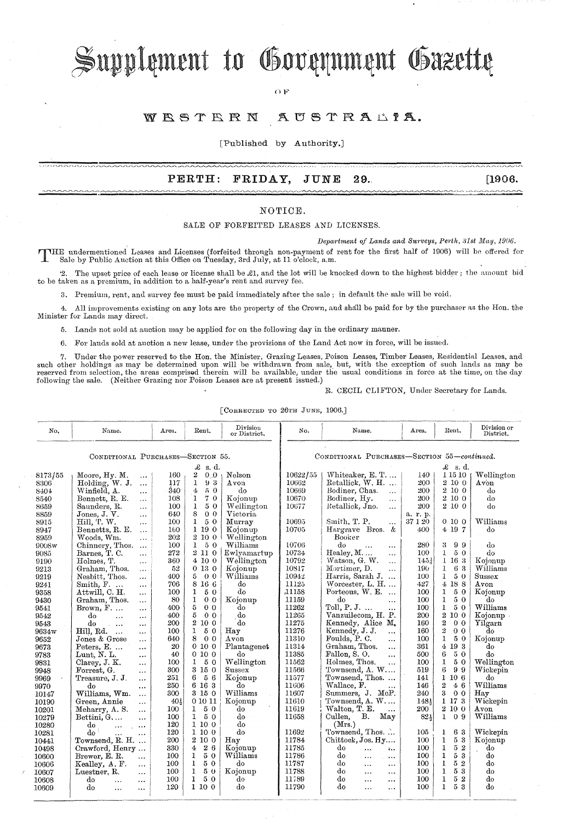# Supplement to Government Gazette

OF

#### WESTERN AUSTRALIA.

[Published by Authority.]

# **PERTH: FRIDAY, JUNE 29.** [1906.

## NOTICE.

SALE OF FORFEITED LEASES AND LICENSES.

*Department of Lands and Surveys, Perth, 31st May, 1906.* 

THE undermentioned Leases and Licenses (forfeited through non-payment of rent for the first half of 1906) will be offered for<br>Sale by Public Auction at this Office on Transform and Library and Library Sale by Public Auction at this Office on Tuesday, 3rd July, at 11 o'clock, a.m.

'2. The upset price of each lease or license shall be £1, and the lot will be knocked down to the highest bidder; the amount bid to be taken as a premium, in addition to a half-year's rent and survey fee.

3. Premium, rent, and survey fee must be paid immediately after the sale; in default the sale will be void.

4. All improvements existing on any lots are the property of the Crown, and shall be paid for by the purchaser as the Hon. the Minister for Lands may direct.

5. Lands not sold at auction may be applied for on the following day in the ordinary manner.

6. For lands sold at auction a new lease, under the proviooions of the Land Act now in force, will be issued.

7. Under the power reserved to the Hon. the Minister, Grazing Leases, Poison Leases, Timber Leases, Residential Leases, and<br>such other holdings as may be determined upon will be withdrawn from sale, but, with the exception following the sale. (Neither Grazing nor Poison Leases are at present issued.)

### R. CECIL CLIFTON, Under Secretary for Lands.

[CORRECTED TO 26TH JUNE, 1906.]

| No.                               | Name.                                              | Area. | Rent.                             | Division<br>or District.                    | No.         | Name.                                           | Area.            | Rent.                                     | Division or<br>District. |  |
|-----------------------------------|----------------------------------------------------|-------|-----------------------------------|---------------------------------------------|-------------|-------------------------------------------------|------------------|-------------------------------------------|--------------------------|--|
| CONDITIONAL PURCHASES-SECTION 55. |                                                    |       |                                   | CONDITIONAL PURCHASES-SECTION 55-continued. |             |                                                 |                  |                                           |                          |  |
| £<br>s. d.                        |                                                    |       |                                   |                                             | £<br>-s. d. |                                                 |                  |                                           |                          |  |
|                                   |                                                    | 160   | $\mathbf{2}^-$<br>0 <sub>0</sub>  | Nelson                                      | 10622/55    | Whiteaker, E. T                                 | 140              | 1 15 10                                   | Wellington               |  |
| 8173/55<br>8306                   | Moore, Hy. M.<br>$\cdots$<br>Holding, W. J.        | 117   | $\mathbf{1}$<br>93                | Avon                                        | 10662       | Retallick, W. H.                                | 200              | 2 10 0                                    | $A$ von                  |  |
|                                   | $\cdots$<br>Winfield, A.                           | 340   | 50<br>4                           | do                                          | 10669       | Bodiner, Chas.                                  | 200              | 2 10 0                                    | dο                       |  |
| 8404                              | $\cdots$<br>Bennett, R. E.                         | 108   | $\mathbf{1}$<br>70                | Kojonup                                     | 10670       | $\cdots$<br>Bodiner, Hy.                        | 200              | 2 10 0                                    | do                       |  |
| 8540                              | $\ddotsc$<br>Saunders. R.                          | 100   | $\mathbf{1}$<br>50                | Wellington                                  | 10677       | $\cdots$<br>Retallick, Jno.                     | 200              | 2100                                      | do                       |  |
| 8659                              | $\cdots$<br>Jones, J. V.                           | 640   | 8<br>0 <sub>0</sub>               | Victoria                                    |             | $\cdots$                                        | a. r. p.         |                                           |                          |  |
| 8859                              | $\cdots$<br>Hill, T. W.                            | 100   | 50<br>1                           | Murray                                      | 10695       | Smith, T. P.                                    | 37 1 20          | 0100                                      | Williams                 |  |
| 8915                              | $\ddotsc$<br>Bennetts, R. E.                       | 160   | 1190                              | Kojonup                                     | 10705       | $\cdots$<br>Hargrave Bros. &                    | 400              | 4 19 7                                    | do                       |  |
| 8947<br>8959                      | $\ddotsc$<br>Woods. Wm.                            | 202   | 2 10 0                            | Wellington                                  |             | Booker                                          |                  |                                           |                          |  |
| 9008w                             | $\ddotsc$<br>Chinnery, Thos.                       | 100   | 50<br>1                           | Williams                                    | 10706       | do                                              | 280              | 3<br>99                                   | do                       |  |
|                                   | Barnes, T. C.                                      | 272   | 2 11 0                            | Ewlyamartup                                 | 10734       | $\cdots$<br>$\ddotsc$<br>Healey, M<br>$\ddotsc$ | 100              | $\mathbf{1}$<br>50                        | do                       |  |
| 9085<br>9190                      | $\ldots$<br>Holmes, T.                             | 360   | 4100                              | Wellington                                  | 10792       | Watson, G. W.                                   | 145 <sub>2</sub> | $1\,16\,3$                                | Kojonup                  |  |
| 9213                              | $\ddotsc$<br>Graham, Thos.                         | 52    | 0130                              | Kojonup                                     | 10817       | $\cdots$<br>Mortimer, D.<br>$\ddotsc$           | 190              | 63<br>$\mathbf{1}$                        | Williams                 |  |
| 9219                              | $\cdots$<br>Nesbitt, Thos.                         | 400   | 5<br>0 <sub>0</sub>               | Williams                                    | 10942       | Harris, Sarah J.<br>$\dddotsc$                  | 100              | 1<br>50                                   | Sussex                   |  |
| 9241                              | $\cdots$<br>Smith, $F.$                            | 706   | 8 16 6                            | do                                          | 11125       | Worcester, L. H                                 | 427              | 4 18 8                                    | Avon                     |  |
| 9358                              | $\cdots$<br>Attwill, C. H.                         | 100   | 50<br>1                           | do                                          | 11158       | Porteous, W. E.<br>$\cdots$                     | 100              | 1<br>50                                   | Kojonup                  |  |
| 9430                              | $\cdots$<br>Graham, Thos.                          | 80    | 1<br>0 <sub>0</sub>               | Kojonup                                     | 11159       | do                                              | 100              | $\mathbf{1}$<br>50                        | do                       |  |
| 9541                              | $\cdots$<br>$Brown, F. \dots$                      | 400   | 5<br>0 <sub>0</sub>               | do                                          | 11262       | $\ddotsc$<br>Toll, P. J.<br>.                   | 100              | $\mathbf{I}$<br>50                        | Williams                 |  |
| 9542                              | $\cdots$<br>do<br>$\ddotsc$                        | 400   | 5<br>0 <sub>0</sub>               | do                                          | 11265       | Vanzuilecom, H. P.                              | 200              | 2 10 0                                    | Kojonup ·                |  |
| 9543                              | $\cdots$<br>do                                     | 200   | 2 10 0                            | do                                          | 11275       | Kennedy, Alice M.                               | 160              | $\overline{2}$<br>0 <sub>0</sub>          | Yilgarn                  |  |
| 9634w                             | $\ddotsc$<br>$\ddotsc$<br>Hill, Rd.<br>$\ddotsc$   | 100   | 1<br>50                           | Hay                                         | 11276       | Kennedy, J. J.<br>$\cdots$                      | 160              | $\overline{\mathbf{2}}$<br>0 <sub>0</sub> | do                       |  |
| 9652                              | $\cdots$<br>Jones & Grose                          | 640   | 8<br>0 <sub>0</sub>               | $_{\mathrm{Avon}}$                          | 11310       | Foulds, P. C.<br>$\cdots$                       | 100              | $\mathbf{1}$<br>50                        | Kojonup                  |  |
| 9673                              | $\cdots$<br>Peters. $E. \ldots$                    | 20    | 0100                              | Plantagenet                                 | 11314       | Graham. Thos.<br>$\ddotsc$                      | 361              | 4193                                      | do                       |  |
| 9783                              | $\ddotsc$<br>Lunt, N. L.                           | 40    | 0100                              | do                                          | 11385       | Fallon, S.O.<br>$\cdots$                        | 500              | 6<br>50                                   | do                       |  |
| 9831                              | $\cdots$<br>Clarey, J. K.                          | 100   | $\mathbf{1}$<br>50                | Wellington                                  | 11562       | Holmes, Thos.<br>$\ddotsc$                      | 100              | $\mathbf{1}$<br>50                        | Wellington               |  |
| 9948                              | $\cdots$<br>Forrest, G.                            | 300   | 3 15 0                            | Sussex                                      | 11566       | Townsend, A. W                                  | 519              | 6<br>99                                   | Wickepin                 |  |
| 9969                              | $\ddotsc$<br>Treasure. J. J.                       | 251   | 6<br>56                           | Kojonup                                     | 11577       | Townsend, Thos                                  | 141              | 1 106                                     | do                       |  |
| 9970                              | $\ddotsc$<br>do                                    | 250   | 6 16 3                            | do                                          | 11606       | Wallace, F.<br>$\ddotsc$                        | 146              | $\overline{2}$<br>46                      | Williams                 |  |
|                                   | $\cdots$<br>Williams, Wm.                          | 300   | 3 15 0                            | Williams                                    | 11607       | Summers, J. McP.                                | 240              | 3<br>0 <sub>0</sub>                       | $_{\rm Hav}$             |  |
| 10147<br>10190                    | $\cdots$<br>Green, Annie                           | 40!   | 0 10 11                           | Kojonup                                     | 11610       | Townsend, A. W                                  | 1481             | 1 17 3                                    | Wickepin                 |  |
| 10201                             | $\ddotsc$<br>Meharry, A. S.                        | 100   | 50<br>1                           | do                                          | 11619       | Walton, T. E.<br>$\ddot{\phantom{a}}$           | 200              | 2 10 0                                    | Avon                     |  |
| 10279                             | $\cdots$<br>$\mathrm{Bettini}, \mathrm{G}, \ldots$ | 100   | 50<br>1                           | do                                          | 11658       | Cullen,<br>В.<br>May                            | 824              | $\mathbf{1}$<br>0.9                       | Williams                 |  |
| 10280                             | $\ddotsc$<br>do                                    | 120   | 1100                              | do                                          |             | (Mrs.)                                          |                  |                                           |                          |  |
| 10281                             | $\cdots$<br>$\cdots$<br>do<br>$\ddotsc$            | 120   | 1100                              | do                                          | 11692       | Townsend, Thos.                                 | 105              | 63<br>1                                   | Wickepin                 |  |
| 10441                             | $\ddotsc$<br>Townsend, R. H.                       | 200   | $\overline{2}$<br>10 <sub>0</sub> | $_{\rm{Hav}}$                               | 11784       | Chittock, Jos. Hy                               | 100              | $5\,$ $3\,$<br>1                          | Kojonup                  |  |
| 10498                             | Crawford, Henry                                    | 330   | 26<br>4                           | Kojonup                                     | 11785       | do<br>$\ddotsc$<br>$\mathbb{P}_{\mathbf{v}}$ .  | 100              | $\mathbf{1}$<br>52                        | do                       |  |
| 10600                             | Brewer, E. R.                                      | 100   | 1<br>50                           | $W$ illiams                                 | 11786       | do<br>$\ddotsc$                                 | 100              | 1<br>53                                   | do                       |  |
| 10606                             | $\ddotsc$<br>Kealley, A. F.                        | 100   | $\mathbf{I}$<br>50                | do                                          | 11787       | $\ldots$<br>do<br>$\ddotsc$                     | 100              | $\mathbf{I}$<br>52                        | do                       |  |
| 10607                             | $\ddotsc$<br>Luestner, R.                          | 100   | 1<br>50                           | Kojonup                                     | 11788       | $\cdots$<br>do<br>$\cdots$                      | 100              | 1<br>53                                   | do                       |  |
| 10608                             | $\cdots$<br>do                                     | 100   | $\mathbf{I}$<br>50                | do                                          | 11789       | $\ddotsc$<br>do<br>$\cdots$<br>$\cdots$         | 100              | 1<br>52                                   | do                       |  |
| 10609                             | $\ddotsc$<br>$\cdots$<br>do                        | 120   | 1 10 0                            | do                                          | 11790       | do                                              | 100              | $\mathbf{1}$<br>53                        | do                       |  |
|                                   | $\ddotsc$<br>$\cdots$                              |       |                                   |                                             |             | $\cdots$<br>$\ldots$                            |                  |                                           |                          |  |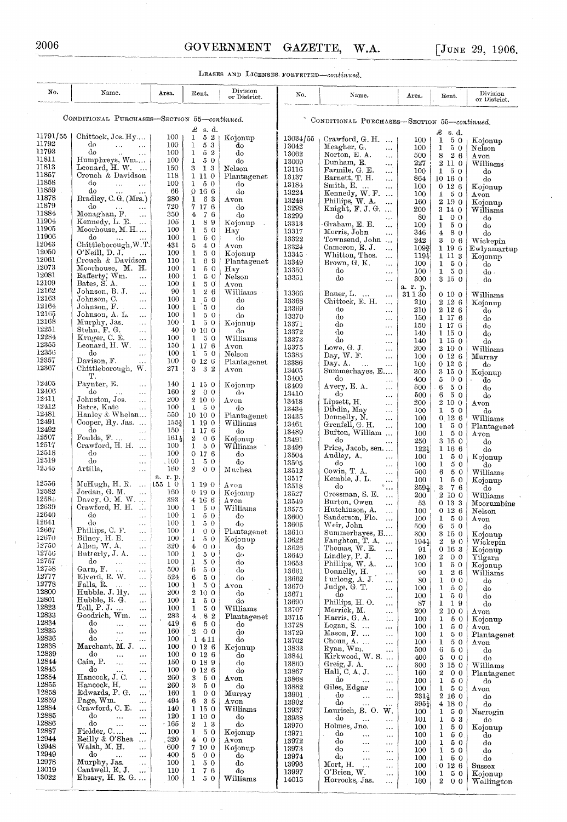LEASES AND LICENSES. FORFEITED-continued.

| CONDITIONAL PURCHASES-SECTION 55-continued.<br>CONDITIONAL PURCHASES-SECTION 55-continued.<br>£<br>s. d.<br>£<br>s. d.<br>11791/55<br>Chittock, Jos. Hy<br>100 <sub>1</sub><br>$\mathbf{L}$<br>52<br>Kojonup<br>13034/55<br>Crawford, $G. H.$<br>100<br>1<br>5 0<br>Kojonup<br>11792<br>d٥<br>100<br>$\mathbf{1}$<br>53<br>and the same<br>do<br>13042<br>Meagher, G.<br>100<br>1<br>50<br>Nelson<br>$\cdots$<br>11793<br>do<br>100<br>$\mathbf{1}$<br>52<br>do<br>$\ddot{\phantom{a}}$<br>$\ldots$<br>13062<br>Norton, E. A.<br>500<br>8<br>26<br>$\ddots$<br>$A$ von<br>11811<br>Humphreys, Wm<br>100<br>$\mathbf{1}$<br>50<br>do<br>13069<br>Dunham, E.<br>$2\,$ 11 $\,$ 0 $\,$<br>227<br>Williams<br>$\ddotsc$<br>11813<br>Leonard, H. W.<br>150<br>3 1 3<br>$\sim$<br>Nelson<br>13116<br>Farmile, G. E.<br>100<br>$\mathbf{1}$<br>50<br>do<br>$\ldots$<br>11857<br>Crouch & Davidson<br>118<br>1 11 0<br>Plantagenet<br>13137<br>Barnett, T. H.<br>864<br>10160<br>do<br>$\ddotsc$<br>11858<br>do<br>100<br>$1\quad 5\quad 0$<br>$\ddotsc$<br>do<br>$\ldots$<br>13184<br>Smith, E.<br>100<br>0126<br>Kojonup<br>$\ddotsc$<br>11859<br>do<br>66<br>0166<br>do<br>13224<br>$\cdots$<br>Kennedy, $W$ . $F$ .<br>100<br>50<br>$\mathbf{1}$<br>Avon<br>11878<br>Bradley, C. G. (Mrs.)<br>280<br>1<br>63<br>$_{\rm Avon}$<br>13249<br>Phillips, W. A.<br>$2\,$ 19 $\,$ 0 $\,$<br>160<br>Kojonup<br>$\ddotsc$<br>11879<br>do<br>720<br>7 17 6<br>do<br>13298<br>$\cdots$<br>Knight, $F. J. G. \ldots$<br>200<br>3 14 0<br>Williams<br>11884<br>Monaghan, F.<br>350<br>$7\,$ $6\,$<br>4<br>$\ddotsc$<br>do<br>13299<br>do<br>80<br>$\mathbf 1$<br>0 <sub>0</sub><br>do<br>.<br>11904<br>Kennedy, L. E.<br>105<br>$\mathbf{1}$<br>89<br>Kojonup<br>$\mathcal{A}$<br>13313<br>Graham, E. E.<br>$\mathbf{1}$<br>5 0<br>100<br>do<br>$\cdots$<br>11905<br>Moorhouse, M. H<br>100<br>$\mathbf{1}$<br>50<br>Hay<br>13317<br>Morris, John<br>346<br>$\overline{4}$<br>80<br>do<br>.<br>11906<br>do<br>100<br>$\mathbf{1}$<br>50<br>do<br>13322<br>Townsend, John<br>242<br>3<br>06<br>Wickepin<br>12043<br>Chittleborough, W.T.<br>5<br>431<br>40<br>Avon<br>13324<br>Cameron, E. J.<br>$109\frac{3}{4}$<br>1 19 6<br><br>12050<br>O'Neill, D. J.<br>100<br>$\mathbf{1}$<br>50<br>222<br>Kojonup<br>13345<br>Whitton, Thos.<br>$119\frac{1}{2}$<br>1 11 3<br>Kojonup<br>$\ldots$<br>12061<br>Crouch & Davidson<br>110<br>1<br>69<br>Plantagenet<br>13349<br>Brown, G. K.<br>100<br>50<br>1<br>do<br>$\ddotsc$<br>12073<br>Moorhouse, M. H.<br>100<br>$\mathbf{1}$<br>50<br>Hay<br>13350<br>do<br>$\mathbf{1}$<br>5 0<br>100<br>do -<br>$\ddotsc$<br>12081<br>Rafferty, Wm.<br>100<br>$\mathbf{1}$<br>50<br>Nelson<br>$\ldots$<br>13351<br>do<br>300<br>3 15 0<br>do<br>$\ldots$<br>12109<br>Bates, S. A.<br>100<br>$\mathbf{I}$<br>50<br>$\bar{\omega}$<br>Avon<br>a. r. p.<br>12162<br>Johnson, B. J.<br>90<br>$\mathbf{1}$<br>26<br>Williams ·<br>$\ldots$<br>13366<br>Bauer, $L_{1}$<br>31130<br>0100<br>Williams<br>$\ldots$<br>12163<br>Johnson, C.<br>$\mathbf{1}$<br>100<br>50<br>$\cdots$<br>do<br>13368<br>Chittock, E. H.<br>$2\;12\;6$<br>210<br>Kojonup<br>$\ldots$<br>12164<br>Johnson, F.<br>100<br>1<br>50<br>do<br>$\ddotsc$<br>13369<br>do<br>2126<br>210<br>do<br>$\ldots$<br>12165<br>Johnson, A. L.<br>100<br>$\mathbf{1}$<br>50<br>do<br>$\ldots$<br>13370<br>do<br>$1\;17\;6$<br>150<br>do<br>$\cdots$<br>12168<br>Murphy, Jas.<br>100<br>$1\quad 5\quad 0$<br>Kojonup<br>$\ldots$<br>13371<br>do<br>150<br>$1\;17\;6$<br>do<br>$\ddotsc$<br>12251<br>Stehn, F. G.<br>40<br>0100<br>$\cdots$<br>do<br>13372<br>do<br>140<br>$1\;15\;0$<br>do<br>$\ldots$<br>12284<br>Kruger, C. E.<br>100<br>$\mathbf{1}$<br>50<br>Williams<br>$\cdots$<br>13373<br>do<br>1150<br>140<br>do<br>$\cdots$<br>12355<br>Leonard, H. W.<br>150<br>1 17 6<br>Avon<br>$\cdots$<br>13375<br>Lowe, G. J.<br>200<br>2 10 0<br>Williams<br>$\ldots$<br>12356<br>do<br>100<br>$1\quad 5\quad 0$<br>Nelson<br>13385<br>$\cdots$<br>Day, W. F.<br>100<br>0126<br>Murray<br>$\ldots$<br>12357<br>Davison, F.<br>100<br>0126<br>Plantagenet<br>$\ddotsc$<br>13386<br>Day, A.<br>100<br>0126<br>$\ddotsc$<br>do<br>$\ldots$<br>12367<br>Chittleborough, W.<br>$\mathbf{3}$<br>271<br>$-32$<br>Avon<br>13405<br>Summerhayes, E<br>$3\,15\,0$<br>300<br>Kojonup<br>т.<br>13406<br>do<br>400<br>5<br>0 <sub>0</sub><br>do<br>.<br>12405<br>Paynter, E.<br>140<br>1 15 0<br>Kojonup<br>$\cdots$<br>13409<br>Avery, E. A.<br>500<br>5 0<br>6.<br>dо<br>$\cdots$<br>12406<br>do<br>160<br>$2\quad 0\quad 0$<br>d٥<br>$\ddotsc$<br>$\ddotsc$<br>13410<br>do<br>500<br>6<br>50<br>do<br>$\ldots$<br>12411<br>Johnston, Jos.<br>200<br>2100<br>$\cdots$<br>Avon<br>13418<br>Lipsett, H.<br>200<br>2 10 0<br>Avon<br>$\ldots$<br>12412<br>Pates, Kate<br>100<br>$1\quad 5\quad 0$<br>$\ddotsc$<br>do<br>13434<br>Dibdin, May<br>100<br>$\mathbf{1}$<br>50<br>$\ddotsc$<br>do<br>12481<br>Hanley & Whelan<br>550<br>10 10 0<br>Plantagenet<br>13435<br>Donnelly, N.<br>0.126<br>100<br>Williams<br>$\cdots$<br>12491<br>Cooper, Hy. Jas.<br>$155\frac{3}{4}$<br>1 19 0<br>Williams<br>13461<br>Grenfell, G. H.<br>100<br>50<br>1<br>Plantagenet<br>$\cdots$<br>12492<br>do<br>150<br>1 17 6<br>do<br>$\sim$ $\sim$<br>13489<br>Bufton, William<br>100<br>$\mathbf{1}$<br>50<br>$_{\rm Avon}$<br>12507<br>Foulds, F. $\ldots$<br>$\mathbf{2}$<br>$161\frac{1}{2}$<br>06<br>Kojonup<br>$\ldots$<br>13491<br>do<br>250<br>3 15 0<br>do<br>$\cdots$<br>12517<br>Crawford, H. H.<br>100<br>$1\quad 5\quad 0$<br>$\operatorname{Williams}$<br>13499<br>Price, Jacob, sen<br>1221<br>$1\;16\;6$<br>do<br>12518<br>do<br>100<br>0176<br>$\sim$<br>do<br>$\ldots$<br>13504<br>Audley, A.<br>100<br>$\mathbf{1}$<br>50<br>$\ldots$<br>Kojonup<br>12519<br>do<br>, 100<br>$\mathbf{1}$<br>50<br>do<br>$\ldots$<br>13505<br>do<br>$\mathbf{1}$<br>50<br>100<br>do<br>$\ldots$<br>12545<br>Artilla,<br>160<br>$2\quad 0\quad 0$<br>Muchea<br>$\ldots$<br>13512<br>Cowin, $T_A$ ,<br>6<br>50<br>500<br>Williams<br>$\ldots$<br>a. r. p.<br>13517<br>Kemble, J. L.<br>100<br>1<br>50<br>$\ldots$<br>Kojonup<br>12556<br>McHugh, H. R. $\ldots$ 155 1 0<br>1 19 0<br>Avon<br>13518<br>do<br>3<br>$259\frac{1}{2}$<br>76<br>do<br>$\cdots$<br>12582<br>Jordan, G. M.<br>160<br>$\ldots$<br>0190<br>Kejonup<br>13527<br>Crossman, S. E.<br>$200^\circ$<br>2 10 0<br>Williams<br>$\ldots$<br>12584<br>Davey, O. M. W.<br>393<br>4 16 6<br>A von<br>13549<br>Burton, Owen<br>0133<br>53<br>$\ddotsc$<br>Moorumbine<br>12639<br>Crawford, $H. H.$<br>100<br>$1\quad 5\quad 0$<br>Williams<br>13575<br>Hutchinson, A.<br>100<br>$0\;12\;6$<br>$\ldots$<br>Nelson<br>12640<br>do<br>100<br>$\mathbf{1}$<br>50<br>do<br>13600<br>Sanderson, Flo.<br>$100 \mid 1$<br>50<br>$\ldots$<br>$A$ von<br>12641<br>do<br>100<br>50<br>1<br>do<br>13605<br>$\cdots$<br>Weir, John<br>6<br>50<br>500<br>do<br>$\ldots$<br>12667<br>Phillips, C. F.<br>100<br>$\mathbf{1}$<br>0 <sub>0</sub><br>Plantagenet<br>$\cdots$<br>13610<br>Summerhayes, E<br>300<br>3 15 0<br>Kojonup<br>12670<br>Bilney, H. E.<br>100<br>$\mathbf{I}$<br>5 0<br>Kojonup<br>$\ldots$<br>13622<br>Faughton, T. A.<br>2<br>90<br>1944<br>Wickepin<br>12750<br>Allen, W. A.<br>320<br>4<br>0 <sub>0</sub><br>do<br>$\cdots$<br>13626<br>Thomas, W. E.<br>91<br>0 16 3<br>Kojonup<br>$\ldots$<br>12756<br>Butterly, J. A.<br>100<br>$\mathbf{1}$<br>50<br>dσ<br>$\ldots$<br>13649<br>Lindley, P. J.<br>2<br>0 <sub>0</sub><br>160<br>Yilgarn<br>$\cdots$<br>12757<br>do<br>100<br>1<br>50<br>.<br>do<br>$\ldots$<br>13653<br>Phillips, W. A.<br>$\mathbf{I}$<br>50<br>$100^{\circ}$<br>Kojonup<br>$\ldots$<br>12758<br>Garn, F.<br>$6^{-}$<br>500<br>5.0<br>do<br>$\ddotsc$<br>$\cdots$<br>13661<br>Donnelly, H.<br>$\mathbf{1}$<br>26<br>90<br>$\operatorname{Williams}$<br>$\cdots$<br>12777<br>Elverd, R. W.<br>6<br>524<br>50<br>do<br>$\cdots$<br>13662<br>Furlong, A. J.<br>$\mathbf{1}$<br>80<br>0 <sub>0</sub><br>$\cdots$<br>do<br>12778<br>Falls, R.<br>100<br>$\mathbf{1}$<br>$\mathcal{L}_{\mathbf{z},\mathbf{z}}$ .<br>$5^{\circ}0$<br>Avon<br>$\ldots$<br>13670<br>Judge, G. T.<br>$\mathbf{J}$<br>100<br>50<br>do<br>$\cdots$<br>$\frac{1}{\epsilon}$<br>$12800\,$<br>Hubble, J. Hy.<br>$\rm{2}$<br>200<br>10 0<br>do<br>$\ldots$<br>13671<br>do<br>1<br>50<br>100<br>do<br>$\ldots$<br>12801<br>Hubble, E. G.<br>100<br>$\mathbf{1}$<br>50<br>do<br>$\ddotsc$<br>13690<br>Phillips, H.O.<br>$\mathbf{1}$<br>87<br>19<br>do<br>.<br>12823<br>Toll, $P. J.$<br>100<br>1<br>50<br>Williams<br>$\ddotsc$<br>13707<br>Merrick, M.<br>200<br>2<br>10 0<br>Avon<br>$\cdots$<br>12833<br>Goodrich, Wm.<br>283<br>$\overline{4}$<br>82<br>$\ddotsc$<br>Plantagenet<br>13715<br>Harris, G. A.<br>100<br>50<br>1.,<br>1<br>Kojonup<br>12834<br>do<br>6<br>50<br>419<br><br>do<br><br>13728<br>Logan, S.<br>$\mathbf{1}$<br>50<br>100<br>Avon<br>$\ldots$<br>12835<br>do<br>160<br>$\mathbf{2}^-$<br>$\ddotsc$<br>0 <sub>0</sub><br>do<br>$\cdots$<br>13729<br>Mason, $F. \ldots$<br>1<br>5 0<br>100<br>Plantagenet<br>$\sim$<br>12836<br>do<br>Δ.<br>100<br>1 4 1 1<br>do<br>13762<br>$\cdots$<br>Choun, $A. \ldots$<br>100<br>$\mathbf{1}$<br>50<br>Avon<br>$\ddotsc$<br>12838<br>Marchant, M. J.<br>100<br>0126<br>Kojonup<br>$\ldots$<br>13833<br>Ryan, Wm.<br>500<br>6<br>50<br>do<br><br>12839<br>do<br>100<br>0126<br>$\ddotsc$<br>do<br>$\ddotsc$<br>13841<br>Kirkwood, W.S.<br>400<br>5<br>0 <sub>0</sub><br>do<br>$\cdots$<br>12844<br>Cain, P.<br>150<br>0 18 9<br>$\sim$ .<br>do<br>$\ldots$<br>13860<br>Greig, J. A.<br>300<br>3 15 0<br>$\operatorname{Williams}$<br>$\cdots$<br>12845<br>do<br>100<br>0126<br>do<br>$\ddotsc$<br>$\ddotsc$<br>13867<br>Hall, C. A. J.<br>160<br>2<br>0 <sub>0</sub><br>Plantagenet<br>$\ddotsc$<br>12854<br>Hancock, J. C.<br>3<br>260<br>5 0<br>Avon<br>$\ddot{\phantom{a}}$<br>13868<br>do<br>100<br>1<br>50<br>$\ddotsc$<br>do<br>.<br>12855<br>Hancock, H.<br>260<br>3<br>5 0<br>do<br>13882<br>$\cdots$<br>Giles, Edgar<br>1<br>100<br>50<br>$_{\rm Avon}$<br>$\ldots$<br>12858<br>Edwards, P. G.<br>160<br>$\mathbf{1}$<br>0 <sub>0</sub><br>Murray<br>$\cdots$<br>13901<br>do<br>$231\frac{1}{3}$<br>2160<br>$\sim$ .<br>do<br>$\ldots$<br>12859<br>Page, Wm.<br>494<br>6<br>$3\,5$<br>.<br>$A$ von<br>13902<br>do<br>$395\frac{1}{2}$<br>4180<br>$\ddots$<br>do<br>$\cdots$<br>12884<br>Crawford, C. E.<br>140<br>1 15 0<br>Williams<br>13937<br>$\cdots$<br>Laurisch, B. O. W.<br>1<br>5 0<br>100<br>Narrogin<br>12885<br>do<br>120<br>1 10 0<br>do<br>$\ddotsc$<br>13938<br>$\ldots$<br>do<br>$\mathbf{1}$<br>53<br>101<br>$\ddotsc$<br>do<br><br>12886<br>do<br>$\mathbf{2}$<br>- 165<br>13<br>$\ddotsc$<br>do<br>$\ddotsc$<br>13970<br>Holmes, Jno.<br>50<br>100<br>1<br>Kojonup<br>.<br>12887<br>Fielder, C<br>100<br>$\mathbf{1}$<br>50<br>Kojonup<br>13971<br>.<br>do<br>100<br>1<br>50<br>$\ddotsc$<br>do<br>$\cdots$<br>12944<br>Reilly & O'Shea<br>320<br>$\overline{4}$<br>0 <sub>0</sub><br>$_{\mathrm{AVon}}$<br>13972<br>do<br>100<br>1<br>5 0<br>$\ldots$<br>do<br>$\cdots$<br>12948<br>Walsh, M. H.<br>7 10 0<br>600<br>$\cdots$<br>Kojonup<br>13973<br>do<br>1<br>5 0<br>100<br>$\cdots$<br>do<br>$\cdots$<br>12949<br>do<br>400<br>5<br>0 <sub>0</sub><br>$\ddotsc$<br>do<br>$\cdots$<br>13974<br>do<br>1<br>100<br>50<br>do<br>$\ddotsc$<br>$\cdots$<br>12978<br>Murphy, Jas.<br>$\mathbf{1}$<br>100<br>50<br>do<br>$\ddot{\phantom{a}}$ .<br>13996<br>Mort, H.<br>100<br>0126<br>Sussex<br>$\cdots$<br>$\cdots$<br>13019<br>Cantwell, E. J.<br>$\mathbf{1}$<br>110<br>76<br>do<br>$\ddotsc$<br>13997<br>$O'Brien$ , W.<br>100<br>$\mathbf{1}$<br>50<br>Kojonup<br>$\cdots$<br>13022<br>Ebsary, H. R. G. $\dots$<br>100<br>$\mathbf{1}$<br>50<br>Williams<br>14015<br>Horrocks, Jas.<br>160<br>$\mathbf{2}$<br>0 <sub>0</sub><br>Wellington<br>$\ldots$ | No. | Name. | Area. | Rent. | Division<br>or District. | No. | Name. | Area. | Rent. | Division<br>or District. |
|----------------------------------------------------------------------------------------------------------------------------------------------------------------------------------------------------------------------------------------------------------------------------------------------------------------------------------------------------------------------------------------------------------------------------------------------------------------------------------------------------------------------------------------------------------------------------------------------------------------------------------------------------------------------------------------------------------------------------------------------------------------------------------------------------------------------------------------------------------------------------------------------------------------------------------------------------------------------------------------------------------------------------------------------------------------------------------------------------------------------------------------------------------------------------------------------------------------------------------------------------------------------------------------------------------------------------------------------------------------------------------------------------------------------------------------------------------------------------------------------------------------------------------------------------------------------------------------------------------------------------------------------------------------------------------------------------------------------------------------------------------------------------------------------------------------------------------------------------------------------------------------------------------------------------------------------------------------------------------------------------------------------------------------------------------------------------------------------------------------------------------------------------------------------------------------------------------------------------------------------------------------------------------------------------------------------------------------------------------------------------------------------------------------------------------------------------------------------------------------------------------------------------------------------------------------------------------------------------------------------------------------------------------------------------------------------------------------------------------------------------------------------------------------------------------------------------------------------------------------------------------------------------------------------------------------------------------------------------------------------------------------------------------------------------------------------------------------------------------------------------------------------------------------------------------------------------------------------------------------------------------------------------------------------------------------------------------------------------------------------------------------------------------------------------------------------------------------------------------------------------------------------------------------------------------------------------------------------------------------------------------------------------------------------------------------------------------------------------------------------------------------------------------------------------------------------------------------------------------------------------------------------------------------------------------------------------------------------------------------------------------------------------------------------------------------------------------------------------------------------------------------------------------------------------------------------------------------------------------------------------------------------------------------------------------------------------------------------------------------------------------------------------------------------------------------------------------------------------------------------------------------------------------------------------------------------------------------------------------------------------------------------------------------------------------------------------------------------------------------------------------------------------------------------------------------------------------------------------------------------------------------------------------------------------------------------------------------------------------------------------------------------------------------------------------------------------------------------------------------------------------------------------------------------------------------------------------------------------------------------------------------------------------------------------------------------------------------------------------------------------------------------------------------------------------------------------------------------------------------------------------------------------------------------------------------------------------------------------------------------------------------------------------------------------------------------------------------------------------------------------------------------------------------------------------------------------------------------------------------------------------------------------------------------------------------------------------------------------------------------------------------------------------------------------------------------------------------------------------------------------------------------------------------------------------------------------------------------------------------------------------------------------------------------------------------------------------------------------------------------------------------------------------------------------------------------------------------------------------------------------------------------------------------------------------------------------------------------------------------------------------------------------------------------------------------------------------------------------------------------------------------------------------------------------------------------------------------------------------------------------------------------------------------------------------------------------------------------------------------------------------------------------------------------------------------------------------------------------------------------------------------------------------------------------------------------------------------------------------------------------------------------------------------------------------------------------------------------------------------------------------------------------------------------------------------------------------------------------------------------------------------------------------------------------------------------------------------------------------------------------------------------------------------------------------------------------------------------------------------------------------------------------------------------------------------------------------------------------------------------------------------------------------------------------------------------------------------------------------------------------------------------------------------------------------------------------------------------------------------------------------------------------------------------------------------------------------------------------------------------------------------------------------------------------------------------------------------------------------------------------------------------------------------------------------------------------------------------------------------------------------------------------------------------------------------------------------------------------------------------------------------------------------------------------------------------------------------------------------------------------------------------------------------------------------------------------------------------------------------------------------------------------------------------------------------------------------------------------------------------------------------------------------------------------------------------------------------------------------------------------------------------------------------------------------------------------------------------------------------------------------------------------------------------------------------------------------------------------------------------------------------------------------------------------------------------------------------------------------------------------------------------------------------------------------------------------------------------------------------------------------------------------------------------------------------------------------------------------------------------------------------------------------------------------------------------------------------------------------------------------------------------------------------------------------------------------------------------------------------------------------------------------------------------------------------------------------------------------------------------------------------------------------------------------------------------------------------------------------------------------------------------------------------------------------------------------------------------------------------------------------------------------------------------------------------------------------------------------------------------------------------------------------------------------------------------------------------------------------------------------------------------------------------------------------------------------------------------------------------------------------------------------------------------------------------------------------------------------------------------------------------------------------------------------------------------------------------------------------------------------------------------------------------------------------------------------------------------------------------------------------------------------------------------------------------------------------------------------------------------------------------------------------------------------------------------------------------------------------------------------------------------------------------------------------------------------------------------------------------------------------------------------------------------------------------------------------------------------------------------------------------------------------------------------------------------------------------------------------------------------------------------------------------------------------------------------------------------------------------------------------------------------------------------------------------|-----|-------|-------|-------|--------------------------|-----|-------|-------|-------|--------------------------|
|                                                                                                                                                                                                                                                                                                                                                                                                                                                                                                                                                                                                                                                                                                                                                                                                                                                                                                                                                                                                                                                                                                                                                                                                                                                                                                                                                                                                                                                                                                                                                                                                                                                                                                                                                                                                                                                                                                                                                                                                                                                                                                                                                                                                                                                                                                                                                                                                                                                                                                                                                                                                                                                                                                                                                                                                                                                                                                                                                                                                                                                                                                                                                                                                                                                                                                                                                                                                                                                                                                                                                                                                                                                                                                                                                                                                                                                                                                                                                                                                                                                                                                                                                                                                                                                                                                                                                                                                                                                                                                                                                                                                                                                                                                                                                                                                                                                                                                                                                                                                                                                                                                                                                                                                                                                                                                                                                                                                                                                                                                                                                                                                                                                                                                                                                                                                                                                                                                                                                                                                                                                                                                                                                                                                                                                                                                                                                                                                                                                                                                                                                                                                                                                                                                                                                                                                                                                                                                                                                                                                                                                                                                                                                                                                                                                                                                                                                                                                                                                                                                                                                                                                                                                                                                                                                                                                                                                                                                                                                                                                                                                                                                                                                                                                                                                                                                                                                                                                                                                                                                                                                                                                                                                                                                                                                                                                                                                                                                                                                                                                                                                                                                                                                                                                                                                                                                                                                                                                                                                                                                                                                                                                                                                                                                                                                                                                                                                                                                                                                                                                                                                                                                                                                                                                                                                                                                                                                                                                                                                                                                                                                                                                                                                                                                                                                                                                                                                                                                                                                                                                                                                                                                                                                                                                                                                                                                                                                                                                                                                                                                                                                                                                                                                                                                                                                                                                                                                                                                                                        |     |       |       |       |                          |     |       |       |       |                          |
| Ewlyamartup                                                                                                                                                                                                                                                                                                                                                                                                                                                                                                                                                                                                                                                                                                                                                                                                                                                                                                                                                                                                                                                                                                                                                                                                                                                                                                                                                                                                                                                                                                                                                                                                                                                                                                                                                                                                                                                                                                                                                                                                                                                                                                                                                                                                                                                                                                                                                                                                                                                                                                                                                                                                                                                                                                                                                                                                                                                                                                                                                                                                                                                                                                                                                                                                                                                                                                                                                                                                                                                                                                                                                                                                                                                                                                                                                                                                                                                                                                                                                                                                                                                                                                                                                                                                                                                                                                                                                                                                                                                                                                                                                                                                                                                                                                                                                                                                                                                                                                                                                                                                                                                                                                                                                                                                                                                                                                                                                                                                                                                                                                                                                                                                                                                                                                                                                                                                                                                                                                                                                                                                                                                                                                                                                                                                                                                                                                                                                                                                                                                                                                                                                                                                                                                                                                                                                                                                                                                                                                                                                                                                                                                                                                                                                                                                                                                                                                                                                                                                                                                                                                                                                                                                                                                                                                                                                                                                                                                                                                                                                                                                                                                                                                                                                                                                                                                                                                                                                                                                                                                                                                                                                                                                                                                                                                                                                                                                                                                                                                                                                                                                                                                                                                                                                                                                                                                                                                                                                                                                                                                                                                                                                                                                                                                                                                                                                                                                                                                                                                                                                                                                                                                                                                                                                                                                                                                                                                                                                                                                                                                                                                                                                                                                                                                                                                                                                                                                                                                                                                                                                                                                                                                                                                                                                                                                                                                                                                                                                                                                                                                                                                                                                                                                                                                                                                                                                                                                                                                                                                                            |     |       |       |       |                          |     |       |       |       |                          |
|                                                                                                                                                                                                                                                                                                                                                                                                                                                                                                                                                                                                                                                                                                                                                                                                                                                                                                                                                                                                                                                                                                                                                                                                                                                                                                                                                                                                                                                                                                                                                                                                                                                                                                                                                                                                                                                                                                                                                                                                                                                                                                                                                                                                                                                                                                                                                                                                                                                                                                                                                                                                                                                                                                                                                                                                                                                                                                                                                                                                                                                                                                                                                                                                                                                                                                                                                                                                                                                                                                                                                                                                                                                                                                                                                                                                                                                                                                                                                                                                                                                                                                                                                                                                                                                                                                                                                                                                                                                                                                                                                                                                                                                                                                                                                                                                                                                                                                                                                                                                                                                                                                                                                                                                                                                                                                                                                                                                                                                                                                                                                                                                                                                                                                                                                                                                                                                                                                                                                                                                                                                                                                                                                                                                                                                                                                                                                                                                                                                                                                                                                                                                                                                                                                                                                                                                                                                                                                                                                                                                                                                                                                                                                                                                                                                                                                                                                                                                                                                                                                                                                                                                                                                                                                                                                                                                                                                                                                                                                                                                                                                                                                                                                                                                                                                                                                                                                                                                                                                                                                                                                                                                                                                                                                                                                                                                                                                                                                                                                                                                                                                                                                                                                                                                                                                                                                                                                                                                                                                                                                                                                                                                                                                                                                                                                                                                                                                                                                                                                                                                                                                                                                                                                                                                                                                                                                                                                                                                                                                                                                                                                                                                                                                                                                                                                                                                                                                                                                                                                                                                                                                                                                                                                                                                                                                                                                                                                                                                                                                                                                                                                                                                                                                                                                                                                                                                                                                                                                                                        |     |       |       |       |                          |     |       |       |       |                          |
|                                                                                                                                                                                                                                                                                                                                                                                                                                                                                                                                                                                                                                                                                                                                                                                                                                                                                                                                                                                                                                                                                                                                                                                                                                                                                                                                                                                                                                                                                                                                                                                                                                                                                                                                                                                                                                                                                                                                                                                                                                                                                                                                                                                                                                                                                                                                                                                                                                                                                                                                                                                                                                                                                                                                                                                                                                                                                                                                                                                                                                                                                                                                                                                                                                                                                                                                                                                                                                                                                                                                                                                                                                                                                                                                                                                                                                                                                                                                                                                                                                                                                                                                                                                                                                                                                                                                                                                                                                                                                                                                                                                                                                                                                                                                                                                                                                                                                                                                                                                                                                                                                                                                                                                                                                                                                                                                                                                                                                                                                                                                                                                                                                                                                                                                                                                                                                                                                                                                                                                                                                                                                                                                                                                                                                                                                                                                                                                                                                                                                                                                                                                                                                                                                                                                                                                                                                                                                                                                                                                                                                                                                                                                                                                                                                                                                                                                                                                                                                                                                                                                                                                                                                                                                                                                                                                                                                                                                                                                                                                                                                                                                                                                                                                                                                                                                                                                                                                                                                                                                                                                                                                                                                                                                                                                                                                                                                                                                                                                                                                                                                                                                                                                                                                                                                                                                                                                                                                                                                                                                                                                                                                                                                                                                                                                                                                                                                                                                                                                                                                                                                                                                                                                                                                                                                                                                                                                                                                                                                                                                                                                                                                                                                                                                                                                                                                                                                                                                                                                                                                                                                                                                                                                                                                                                                                                                                                                                                                                                                                                                                                                                                                                                                                                                                                                                                                                                                                                                                                                        |     |       |       |       |                          |     |       |       |       |                          |
|                                                                                                                                                                                                                                                                                                                                                                                                                                                                                                                                                                                                                                                                                                                                                                                                                                                                                                                                                                                                                                                                                                                                                                                                                                                                                                                                                                                                                                                                                                                                                                                                                                                                                                                                                                                                                                                                                                                                                                                                                                                                                                                                                                                                                                                                                                                                                                                                                                                                                                                                                                                                                                                                                                                                                                                                                                                                                                                                                                                                                                                                                                                                                                                                                                                                                                                                                                                                                                                                                                                                                                                                                                                                                                                                                                                                                                                                                                                                                                                                                                                                                                                                                                                                                                                                                                                                                                                                                                                                                                                                                                                                                                                                                                                                                                                                                                                                                                                                                                                                                                                                                                                                                                                                                                                                                                                                                                                                                                                                                                                                                                                                                                                                                                                                                                                                                                                                                                                                                                                                                                                                                                                                                                                                                                                                                                                                                                                                                                                                                                                                                                                                                                                                                                                                                                                                                                                                                                                                                                                                                                                                                                                                                                                                                                                                                                                                                                                                                                                                                                                                                                                                                                                                                                                                                                                                                                                                                                                                                                                                                                                                                                                                                                                                                                                                                                                                                                                                                                                                                                                                                                                                                                                                                                                                                                                                                                                                                                                                                                                                                                                                                                                                                                                                                                                                                                                                                                                                                                                                                                                                                                                                                                                                                                                                                                                                                                                                                                                                                                                                                                                                                                                                                                                                                                                                                                                                                                                                                                                                                                                                                                                                                                                                                                                                                                                                                                                                                                                                                                                                                                                                                                                                                                                                                                                                                                                                                                                                                                                                                                                                                                                                                                                                                                                                                                                                                                                                                                                                        |     |       |       |       |                          |     |       |       |       |                          |
|                                                                                                                                                                                                                                                                                                                                                                                                                                                                                                                                                                                                                                                                                                                                                                                                                                                                                                                                                                                                                                                                                                                                                                                                                                                                                                                                                                                                                                                                                                                                                                                                                                                                                                                                                                                                                                                                                                                                                                                                                                                                                                                                                                                                                                                                                                                                                                                                                                                                                                                                                                                                                                                                                                                                                                                                                                                                                                                                                                                                                                                                                                                                                                                                                                                                                                                                                                                                                                                                                                                                                                                                                                                                                                                                                                                                                                                                                                                                                                                                                                                                                                                                                                                                                                                                                                                                                                                                                                                                                                                                                                                                                                                                                                                                                                                                                                                                                                                                                                                                                                                                                                                                                                                                                                                                                                                                                                                                                                                                                                                                                                                                                                                                                                                                                                                                                                                                                                                                                                                                                                                                                                                                                                                                                                                                                                                                                                                                                                                                                                                                                                                                                                                                                                                                                                                                                                                                                                                                                                                                                                                                                                                                                                                                                                                                                                                                                                                                                                                                                                                                                                                                                                                                                                                                                                                                                                                                                                                                                                                                                                                                                                                                                                                                                                                                                                                                                                                                                                                                                                                                                                                                                                                                                                                                                                                                                                                                                                                                                                                                                                                                                                                                                                                                                                                                                                                                                                                                                                                                                                                                                                                                                                                                                                                                                                                                                                                                                                                                                                                                                                                                                                                                                                                                                                                                                                                                                                                                                                                                                                                                                                                                                                                                                                                                                                                                                                                                                                                                                                                                                                                                                                                                                                                                                                                                                                                                                                                                                                                                                                                                                                                                                                                                                                                                                                                                                                                                                                                                        |     |       |       |       |                          |     |       |       |       |                          |
|                                                                                                                                                                                                                                                                                                                                                                                                                                                                                                                                                                                                                                                                                                                                                                                                                                                                                                                                                                                                                                                                                                                                                                                                                                                                                                                                                                                                                                                                                                                                                                                                                                                                                                                                                                                                                                                                                                                                                                                                                                                                                                                                                                                                                                                                                                                                                                                                                                                                                                                                                                                                                                                                                                                                                                                                                                                                                                                                                                                                                                                                                                                                                                                                                                                                                                                                                                                                                                                                                                                                                                                                                                                                                                                                                                                                                                                                                                                                                                                                                                                                                                                                                                                                                                                                                                                                                                                                                                                                                                                                                                                                                                                                                                                                                                                                                                                                                                                                                                                                                                                                                                                                                                                                                                                                                                                                                                                                                                                                                                                                                                                                                                                                                                                                                                                                                                                                                                                                                                                                                                                                                                                                                                                                                                                                                                                                                                                                                                                                                                                                                                                                                                                                                                                                                                                                                                                                                                                                                                                                                                                                                                                                                                                                                                                                                                                                                                                                                                                                                                                                                                                                                                                                                                                                                                                                                                                                                                                                                                                                                                                                                                                                                                                                                                                                                                                                                                                                                                                                                                                                                                                                                                                                                                                                                                                                                                                                                                                                                                                                                                                                                                                                                                                                                                                                                                                                                                                                                                                                                                                                                                                                                                                                                                                                                                                                                                                                                                                                                                                                                                                                                                                                                                                                                                                                                                                                                                                                                                                                                                                                                                                                                                                                                                                                                                                                                                                                                                                                                                                                                                                                                                                                                                                                                                                                                                                                                                                                                                                                                                                                                                                                                                                                                                                                                                                                                                                                                                                                        |     |       |       |       |                          |     |       |       |       |                          |
|                                                                                                                                                                                                                                                                                                                                                                                                                                                                                                                                                                                                                                                                                                                                                                                                                                                                                                                                                                                                                                                                                                                                                                                                                                                                                                                                                                                                                                                                                                                                                                                                                                                                                                                                                                                                                                                                                                                                                                                                                                                                                                                                                                                                                                                                                                                                                                                                                                                                                                                                                                                                                                                                                                                                                                                                                                                                                                                                                                                                                                                                                                                                                                                                                                                                                                                                                                                                                                                                                                                                                                                                                                                                                                                                                                                                                                                                                                                                                                                                                                                                                                                                                                                                                                                                                                                                                                                                                                                                                                                                                                                                                                                                                                                                                                                                                                                                                                                                                                                                                                                                                                                                                                                                                                                                                                                                                                                                                                                                                                                                                                                                                                                                                                                                                                                                                                                                                                                                                                                                                                                                                                                                                                                                                                                                                                                                                                                                                                                                                                                                                                                                                                                                                                                                                                                                                                                                                                                                                                                                                                                                                                                                                                                                                                                                                                                                                                                                                                                                                                                                                                                                                                                                                                                                                                                                                                                                                                                                                                                                                                                                                                                                                                                                                                                                                                                                                                                                                                                                                                                                                                                                                                                                                                                                                                                                                                                                                                                                                                                                                                                                                                                                                                                                                                                                                                                                                                                                                                                                                                                                                                                                                                                                                                                                                                                                                                                                                                                                                                                                                                                                                                                                                                                                                                                                                                                                                                                                                                                                                                                                                                                                                                                                                                                                                                                                                                                                                                                                                                                                                                                                                                                                                                                                                                                                                                                                                                                                                                                                                                                                                                                                                                                                                                                                                                                                                                                                                                                                        |     |       |       |       |                          |     |       |       |       |                          |
|                                                                                                                                                                                                                                                                                                                                                                                                                                                                                                                                                                                                                                                                                                                                                                                                                                                                                                                                                                                                                                                                                                                                                                                                                                                                                                                                                                                                                                                                                                                                                                                                                                                                                                                                                                                                                                                                                                                                                                                                                                                                                                                                                                                                                                                                                                                                                                                                                                                                                                                                                                                                                                                                                                                                                                                                                                                                                                                                                                                                                                                                                                                                                                                                                                                                                                                                                                                                                                                                                                                                                                                                                                                                                                                                                                                                                                                                                                                                                                                                                                                                                                                                                                                                                                                                                                                                                                                                                                                                                                                                                                                                                                                                                                                                                                                                                                                                                                                                                                                                                                                                                                                                                                                                                                                                                                                                                                                                                                                                                                                                                                                                                                                                                                                                                                                                                                                                                                                                                                                                                                                                                                                                                                                                                                                                                                                                                                                                                                                                                                                                                                                                                                                                                                                                                                                                                                                                                                                                                                                                                                                                                                                                                                                                                                                                                                                                                                                                                                                                                                                                                                                                                                                                                                                                                                                                                                                                                                                                                                                                                                                                                                                                                                                                                                                                                                                                                                                                                                                                                                                                                                                                                                                                                                                                                                                                                                                                                                                                                                                                                                                                                                                                                                                                                                                                                                                                                                                                                                                                                                                                                                                                                                                                                                                                                                                                                                                                                                                                                                                                                                                                                                                                                                                                                                                                                                                                                                                                                                                                                                                                                                                                                                                                                                                                                                                                                                                                                                                                                                                                                                                                                                                                                                                                                                                                                                                                                                                                                                                                                                                                                                                                                                                                                                                                                                                                                                                                                                                                        |     |       |       |       |                          |     |       |       |       |                          |
|                                                                                                                                                                                                                                                                                                                                                                                                                                                                                                                                                                                                                                                                                                                                                                                                                                                                                                                                                                                                                                                                                                                                                                                                                                                                                                                                                                                                                                                                                                                                                                                                                                                                                                                                                                                                                                                                                                                                                                                                                                                                                                                                                                                                                                                                                                                                                                                                                                                                                                                                                                                                                                                                                                                                                                                                                                                                                                                                                                                                                                                                                                                                                                                                                                                                                                                                                                                                                                                                                                                                                                                                                                                                                                                                                                                                                                                                                                                                                                                                                                                                                                                                                                                                                                                                                                                                                                                                                                                                                                                                                                                                                                                                                                                                                                                                                                                                                                                                                                                                                                                                                                                                                                                                                                                                                                                                                                                                                                                                                                                                                                                                                                                                                                                                                                                                                                                                                                                                                                                                                                                                                                                                                                                                                                                                                                                                                                                                                                                                                                                                                                                                                                                                                                                                                                                                                                                                                                                                                                                                                                                                                                                                                                                                                                                                                                                                                                                                                                                                                                                                                                                                                                                                                                                                                                                                                                                                                                                                                                                                                                                                                                                                                                                                                                                                                                                                                                                                                                                                                                                                                                                                                                                                                                                                                                                                                                                                                                                                                                                                                                                                                                                                                                                                                                                                                                                                                                                                                                                                                                                                                                                                                                                                                                                                                                                                                                                                                                                                                                                                                                                                                                                                                                                                                                                                                                                                                                                                                                                                                                                                                                                                                                                                                                                                                                                                                                                                                                                                                                                                                                                                                                                                                                                                                                                                                                                                                                                                                                                                                                                                                                                                                                                                                                                                                                                                                                                                                                                                        |     |       |       |       |                          |     |       |       |       |                          |
|                                                                                                                                                                                                                                                                                                                                                                                                                                                                                                                                                                                                                                                                                                                                                                                                                                                                                                                                                                                                                                                                                                                                                                                                                                                                                                                                                                                                                                                                                                                                                                                                                                                                                                                                                                                                                                                                                                                                                                                                                                                                                                                                                                                                                                                                                                                                                                                                                                                                                                                                                                                                                                                                                                                                                                                                                                                                                                                                                                                                                                                                                                                                                                                                                                                                                                                                                                                                                                                                                                                                                                                                                                                                                                                                                                                                                                                                                                                                                                                                                                                                                                                                                                                                                                                                                                                                                                                                                                                                                                                                                                                                                                                                                                                                                                                                                                                                                                                                                                                                                                                                                                                                                                                                                                                                                                                                                                                                                                                                                                                                                                                                                                                                                                                                                                                                                                                                                                                                                                                                                                                                                                                                                                                                                                                                                                                                                                                                                                                                                                                                                                                                                                                                                                                                                                                                                                                                                                                                                                                                                                                                                                                                                                                                                                                                                                                                                                                                                                                                                                                                                                                                                                                                                                                                                                                                                                                                                                                                                                                                                                                                                                                                                                                                                                                                                                                                                                                                                                                                                                                                                                                                                                                                                                                                                                                                                                                                                                                                                                                                                                                                                                                                                                                                                                                                                                                                                                                                                                                                                                                                                                                                                                                                                                                                                                                                                                                                                                                                                                                                                                                                                                                                                                                                                                                                                                                                                                                                                                                                                                                                                                                                                                                                                                                                                                                                                                                                                                                                                                                                                                                                                                                                                                                                                                                                                                                                                                                                                                                                                                                                                                                                                                                                                                                                                                                                                                                                                                                                        |     |       |       |       |                          |     |       |       |       |                          |
|                                                                                                                                                                                                                                                                                                                                                                                                                                                                                                                                                                                                                                                                                                                                                                                                                                                                                                                                                                                                                                                                                                                                                                                                                                                                                                                                                                                                                                                                                                                                                                                                                                                                                                                                                                                                                                                                                                                                                                                                                                                                                                                                                                                                                                                                                                                                                                                                                                                                                                                                                                                                                                                                                                                                                                                                                                                                                                                                                                                                                                                                                                                                                                                                                                                                                                                                                                                                                                                                                                                                                                                                                                                                                                                                                                                                                                                                                                                                                                                                                                                                                                                                                                                                                                                                                                                                                                                                                                                                                                                                                                                                                                                                                                                                                                                                                                                                                                                                                                                                                                                                                                                                                                                                                                                                                                                                                                                                                                                                                                                                                                                                                                                                                                                                                                                                                                                                                                                                                                                                                                                                                                                                                                                                                                                                                                                                                                                                                                                                                                                                                                                                                                                                                                                                                                                                                                                                                                                                                                                                                                                                                                                                                                                                                                                                                                                                                                                                                                                                                                                                                                                                                                                                                                                                                                                                                                                                                                                                                                                                                                                                                                                                                                                                                                                                                                                                                                                                                                                                                                                                                                                                                                                                                                                                                                                                                                                                                                                                                                                                                                                                                                                                                                                                                                                                                                                                                                                                                                                                                                                                                                                                                                                                                                                                                                                                                                                                                                                                                                                                                                                                                                                                                                                                                                                                                                                                                                                                                                                                                                                                                                                                                                                                                                                                                                                                                                                                                                                                                                                                                                                                                                                                                                                                                                                                                                                                                                                                                                                                                                                                                                                                                                                                                                                                                                                                                                                                                                                                        |     |       |       |       |                          |     |       |       |       |                          |
|                                                                                                                                                                                                                                                                                                                                                                                                                                                                                                                                                                                                                                                                                                                                                                                                                                                                                                                                                                                                                                                                                                                                                                                                                                                                                                                                                                                                                                                                                                                                                                                                                                                                                                                                                                                                                                                                                                                                                                                                                                                                                                                                                                                                                                                                                                                                                                                                                                                                                                                                                                                                                                                                                                                                                                                                                                                                                                                                                                                                                                                                                                                                                                                                                                                                                                                                                                                                                                                                                                                                                                                                                                                                                                                                                                                                                                                                                                                                                                                                                                                                                                                                                                                                                                                                                                                                                                                                                                                                                                                                                                                                                                                                                                                                                                                                                                                                                                                                                                                                                                                                                                                                                                                                                                                                                                                                                                                                                                                                                                                                                                                                                                                                                                                                                                                                                                                                                                                                                                                                                                                                                                                                                                                                                                                                                                                                                                                                                                                                                                                                                                                                                                                                                                                                                                                                                                                                                                                                                                                                                                                                                                                                                                                                                                                                                                                                                                                                                                                                                                                                                                                                                                                                                                                                                                                                                                                                                                                                                                                                                                                                                                                                                                                                                                                                                                                                                                                                                                                                                                                                                                                                                                                                                                                                                                                                                                                                                                                                                                                                                                                                                                                                                                                                                                                                                                                                                                                                                                                                                                                                                                                                                                                                                                                                                                                                                                                                                                                                                                                                                                                                                                                                                                                                                                                                                                                                                                                                                                                                                                                                                                                                                                                                                                                                                                                                                                                                                                                                                                                                                                                                                                                                                                                                                                                                                                                                                                                                                                                                                                                                                                                                                                                                                                                                                                                                                                                                                                                                        |     |       |       |       |                          |     |       |       |       |                          |
|                                                                                                                                                                                                                                                                                                                                                                                                                                                                                                                                                                                                                                                                                                                                                                                                                                                                                                                                                                                                                                                                                                                                                                                                                                                                                                                                                                                                                                                                                                                                                                                                                                                                                                                                                                                                                                                                                                                                                                                                                                                                                                                                                                                                                                                                                                                                                                                                                                                                                                                                                                                                                                                                                                                                                                                                                                                                                                                                                                                                                                                                                                                                                                                                                                                                                                                                                                                                                                                                                                                                                                                                                                                                                                                                                                                                                                                                                                                                                                                                                                                                                                                                                                                                                                                                                                                                                                                                                                                                                                                                                                                                                                                                                                                                                                                                                                                                                                                                                                                                                                                                                                                                                                                                                                                                                                                                                                                                                                                                                                                                                                                                                                                                                                                                                                                                                                                                                                                                                                                                                                                                                                                                                                                                                                                                                                                                                                                                                                                                                                                                                                                                                                                                                                                                                                                                                                                                                                                                                                                                                                                                                                                                                                                                                                                                                                                                                                                                                                                                                                                                                                                                                                                                                                                                                                                                                                                                                                                                                                                                                                                                                                                                                                                                                                                                                                                                                                                                                                                                                                                                                                                                                                                                                                                                                                                                                                                                                                                                                                                                                                                                                                                                                                                                                                                                                                                                                                                                                                                                                                                                                                                                                                                                                                                                                                                                                                                                                                                                                                                                                                                                                                                                                                                                                                                                                                                                                                                                                                                                                                                                                                                                                                                                                                                                                                                                                                                                                                                                                                                                                                                                                                                                                                                                                                                                                                                                                                                                                                                                                                                                                                                                                                                                                                                                                                                                                                                                                                                                        |     |       |       |       |                          |     |       |       |       |                          |
|                                                                                                                                                                                                                                                                                                                                                                                                                                                                                                                                                                                                                                                                                                                                                                                                                                                                                                                                                                                                                                                                                                                                                                                                                                                                                                                                                                                                                                                                                                                                                                                                                                                                                                                                                                                                                                                                                                                                                                                                                                                                                                                                                                                                                                                                                                                                                                                                                                                                                                                                                                                                                                                                                                                                                                                                                                                                                                                                                                                                                                                                                                                                                                                                                                                                                                                                                                                                                                                                                                                                                                                                                                                                                                                                                                                                                                                                                                                                                                                                                                                                                                                                                                                                                                                                                                                                                                                                                                                                                                                                                                                                                                                                                                                                                                                                                                                                                                                                                                                                                                                                                                                                                                                                                                                                                                                                                                                                                                                                                                                                                                                                                                                                                                                                                                                                                                                                                                                                                                                                                                                                                                                                                                                                                                                                                                                                                                                                                                                                                                                                                                                                                                                                                                                                                                                                                                                                                                                                                                                                                                                                                                                                                                                                                                                                                                                                                                                                                                                                                                                                                                                                                                                                                                                                                                                                                                                                                                                                                                                                                                                                                                                                                                                                                                                                                                                                                                                                                                                                                                                                                                                                                                                                                                                                                                                                                                                                                                                                                                                                                                                                                                                                                                                                                                                                                                                                                                                                                                                                                                                                                                                                                                                                                                                                                                                                                                                                                                                                                                                                                                                                                                                                                                                                                                                                                                                                                                                                                                                                                                                                                                                                                                                                                                                                                                                                                                                                                                                                                                                                                                                                                                                                                                                                                                                                                                                                                                                                                                                                                                                                                                                                                                                                                                                                                                                                                                                                                                                                        |     |       |       |       |                          |     |       |       |       |                          |
|                                                                                                                                                                                                                                                                                                                                                                                                                                                                                                                                                                                                                                                                                                                                                                                                                                                                                                                                                                                                                                                                                                                                                                                                                                                                                                                                                                                                                                                                                                                                                                                                                                                                                                                                                                                                                                                                                                                                                                                                                                                                                                                                                                                                                                                                                                                                                                                                                                                                                                                                                                                                                                                                                                                                                                                                                                                                                                                                                                                                                                                                                                                                                                                                                                                                                                                                                                                                                                                                                                                                                                                                                                                                                                                                                                                                                                                                                                                                                                                                                                                                                                                                                                                                                                                                                                                                                                                                                                                                                                                                                                                                                                                                                                                                                                                                                                                                                                                                                                                                                                                                                                                                                                                                                                                                                                                                                                                                                                                                                                                                                                                                                                                                                                                                                                                                                                                                                                                                                                                                                                                                                                                                                                                                                                                                                                                                                                                                                                                                                                                                                                                                                                                                                                                                                                                                                                                                                                                                                                                                                                                                                                                                                                                                                                                                                                                                                                                                                                                                                                                                                                                                                                                                                                                                                                                                                                                                                                                                                                                                                                                                                                                                                                                                                                                                                                                                                                                                                                                                                                                                                                                                                                                                                                                                                                                                                                                                                                                                                                                                                                                                                                                                                                                                                                                                                                                                                                                                                                                                                                                                                                                                                                                                                                                                                                                                                                                                                                                                                                                                                                                                                                                                                                                                                                                                                                                                                                                                                                                                                                                                                                                                                                                                                                                                                                                                                                                                                                                                                                                                                                                                                                                                                                                                                                                                                                                                                                                                                                                                                                                                                                                                                                                                                                                                                                                                                                                                                                                                        |     |       |       |       |                          |     |       |       |       |                          |
|                                                                                                                                                                                                                                                                                                                                                                                                                                                                                                                                                                                                                                                                                                                                                                                                                                                                                                                                                                                                                                                                                                                                                                                                                                                                                                                                                                                                                                                                                                                                                                                                                                                                                                                                                                                                                                                                                                                                                                                                                                                                                                                                                                                                                                                                                                                                                                                                                                                                                                                                                                                                                                                                                                                                                                                                                                                                                                                                                                                                                                                                                                                                                                                                                                                                                                                                                                                                                                                                                                                                                                                                                                                                                                                                                                                                                                                                                                                                                                                                                                                                                                                                                                                                                                                                                                                                                                                                                                                                                                                                                                                                                                                                                                                                                                                                                                                                                                                                                                                                                                                                                                                                                                                                                                                                                                                                                                                                                                                                                                                                                                                                                                                                                                                                                                                                                                                                                                                                                                                                                                                                                                                                                                                                                                                                                                                                                                                                                                                                                                                                                                                                                                                                                                                                                                                                                                                                                                                                                                                                                                                                                                                                                                                                                                                                                                                                                                                                                                                                                                                                                                                                                                                                                                                                                                                                                                                                                                                                                                                                                                                                                                                                                                                                                                                                                                                                                                                                                                                                                                                                                                                                                                                                                                                                                                                                                                                                                                                                                                                                                                                                                                                                                                                                                                                                                                                                                                                                                                                                                                                                                                                                                                                                                                                                                                                                                                                                                                                                                                                                                                                                                                                                                                                                                                                                                                                                                                                                                                                                                                                                                                                                                                                                                                                                                                                                                                                                                                                                                                                                                                                                                                                                                                                                                                                                                                                                                                                                                                                                                                                                                                                                                                                                                                                                                                                                                                                                                                                                        |     |       |       |       |                          |     |       |       |       |                          |
|                                                                                                                                                                                                                                                                                                                                                                                                                                                                                                                                                                                                                                                                                                                                                                                                                                                                                                                                                                                                                                                                                                                                                                                                                                                                                                                                                                                                                                                                                                                                                                                                                                                                                                                                                                                                                                                                                                                                                                                                                                                                                                                                                                                                                                                                                                                                                                                                                                                                                                                                                                                                                                                                                                                                                                                                                                                                                                                                                                                                                                                                                                                                                                                                                                                                                                                                                                                                                                                                                                                                                                                                                                                                                                                                                                                                                                                                                                                                                                                                                                                                                                                                                                                                                                                                                                                                                                                                                                                                                                                                                                                                                                                                                                                                                                                                                                                                                                                                                                                                                                                                                                                                                                                                                                                                                                                                                                                                                                                                                                                                                                                                                                                                                                                                                                                                                                                                                                                                                                                                                                                                                                                                                                                                                                                                                                                                                                                                                                                                                                                                                                                                                                                                                                                                                                                                                                                                                                                                                                                                                                                                                                                                                                                                                                                                                                                                                                                                                                                                                                                                                                                                                                                                                                                                                                                                                                                                                                                                                                                                                                                                                                                                                                                                                                                                                                                                                                                                                                                                                                                                                                                                                                                                                                                                                                                                                                                                                                                                                                                                                                                                                                                                                                                                                                                                                                                                                                                                                                                                                                                                                                                                                                                                                                                                                                                                                                                                                                                                                                                                                                                                                                                                                                                                                                                                                                                                                                                                                                                                                                                                                                                                                                                                                                                                                                                                                                                                                                                                                                                                                                                                                                                                                                                                                                                                                                                                                                                                                                                                                                                                                                                                                                                                                                                                                                                                                                                                                                                                        |     |       |       |       |                          |     |       |       |       |                          |
|                                                                                                                                                                                                                                                                                                                                                                                                                                                                                                                                                                                                                                                                                                                                                                                                                                                                                                                                                                                                                                                                                                                                                                                                                                                                                                                                                                                                                                                                                                                                                                                                                                                                                                                                                                                                                                                                                                                                                                                                                                                                                                                                                                                                                                                                                                                                                                                                                                                                                                                                                                                                                                                                                                                                                                                                                                                                                                                                                                                                                                                                                                                                                                                                                                                                                                                                                                                                                                                                                                                                                                                                                                                                                                                                                                                                                                                                                                                                                                                                                                                                                                                                                                                                                                                                                                                                                                                                                                                                                                                                                                                                                                                                                                                                                                                                                                                                                                                                                                                                                                                                                                                                                                                                                                                                                                                                                                                                                                                                                                                                                                                                                                                                                                                                                                                                                                                                                                                                                                                                                                                                                                                                                                                                                                                                                                                                                                                                                                                                                                                                                                                                                                                                                                                                                                                                                                                                                                                                                                                                                                                                                                                                                                                                                                                                                                                                                                                                                                                                                                                                                                                                                                                                                                                                                                                                                                                                                                                                                                                                                                                                                                                                                                                                                                                                                                                                                                                                                                                                                                                                                                                                                                                                                                                                                                                                                                                                                                                                                                                                                                                                                                                                                                                                                                                                                                                                                                                                                                                                                                                                                                                                                                                                                                                                                                                                                                                                                                                                                                                                                                                                                                                                                                                                                                                                                                                                                                                                                                                                                                                                                                                                                                                                                                                                                                                                                                                                                                                                                                                                                                                                                                                                                                                                                                                                                                                                                                                                                                                                                                                                                                                                                                                                                                                                                                                                                                                                                                                                        |     |       |       |       |                          |     |       |       |       |                          |
|                                                                                                                                                                                                                                                                                                                                                                                                                                                                                                                                                                                                                                                                                                                                                                                                                                                                                                                                                                                                                                                                                                                                                                                                                                                                                                                                                                                                                                                                                                                                                                                                                                                                                                                                                                                                                                                                                                                                                                                                                                                                                                                                                                                                                                                                                                                                                                                                                                                                                                                                                                                                                                                                                                                                                                                                                                                                                                                                                                                                                                                                                                                                                                                                                                                                                                                                                                                                                                                                                                                                                                                                                                                                                                                                                                                                                                                                                                                                                                                                                                                                                                                                                                                                                                                                                                                                                                                                                                                                                                                                                                                                                                                                                                                                                                                                                                                                                                                                                                                                                                                                                                                                                                                                                                                                                                                                                                                                                                                                                                                                                                                                                                                                                                                                                                                                                                                                                                                                                                                                                                                                                                                                                                                                                                                                                                                                                                                                                                                                                                                                                                                                                                                                                                                                                                                                                                                                                                                                                                                                                                                                                                                                                                                                                                                                                                                                                                                                                                                                                                                                                                                                                                                                                                                                                                                                                                                                                                                                                                                                                                                                                                                                                                                                                                                                                                                                                                                                                                                                                                                                                                                                                                                                                                                                                                                                                                                                                                                                                                                                                                                                                                                                                                                                                                                                                                                                                                                                                                                                                                                                                                                                                                                                                                                                                                                                                                                                                                                                                                                                                                                                                                                                                                                                                                                                                                                                                                                                                                                                                                                                                                                                                                                                                                                                                                                                                                                                                                                                                                                                                                                                                                                                                                                                                                                                                                                                                                                                                                                                                                                                                                                                                                                                                                                                                                                                                                                                                                                                        |     |       |       |       |                          |     |       |       |       |                          |
|                                                                                                                                                                                                                                                                                                                                                                                                                                                                                                                                                                                                                                                                                                                                                                                                                                                                                                                                                                                                                                                                                                                                                                                                                                                                                                                                                                                                                                                                                                                                                                                                                                                                                                                                                                                                                                                                                                                                                                                                                                                                                                                                                                                                                                                                                                                                                                                                                                                                                                                                                                                                                                                                                                                                                                                                                                                                                                                                                                                                                                                                                                                                                                                                                                                                                                                                                                                                                                                                                                                                                                                                                                                                                                                                                                                                                                                                                                                                                                                                                                                                                                                                                                                                                                                                                                                                                                                                                                                                                                                                                                                                                                                                                                                                                                                                                                                                                                                                                                                                                                                                                                                                                                                                                                                                                                                                                                                                                                                                                                                                                                                                                                                                                                                                                                                                                                                                                                                                                                                                                                                                                                                                                                                                                                                                                                                                                                                                                                                                                                                                                                                                                                                                                                                                                                                                                                                                                                                                                                                                                                                                                                                                                                                                                                                                                                                                                                                                                                                                                                                                                                                                                                                                                                                                                                                                                                                                                                                                                                                                                                                                                                                                                                                                                                                                                                                                                                                                                                                                                                                                                                                                                                                                                                                                                                                                                                                                                                                                                                                                                                                                                                                                                                                                                                                                                                                                                                                                                                                                                                                                                                                                                                                                                                                                                                                                                                                                                                                                                                                                                                                                                                                                                                                                                                                                                                                                                                                                                                                                                                                                                                                                                                                                                                                                                                                                                                                                                                                                                                                                                                                                                                                                                                                                                                                                                                                                                                                                                                                                                                                                                                                                                                                                                                                                                                                                                                                                                                                                        |     |       |       |       |                          |     |       |       |       |                          |
|                                                                                                                                                                                                                                                                                                                                                                                                                                                                                                                                                                                                                                                                                                                                                                                                                                                                                                                                                                                                                                                                                                                                                                                                                                                                                                                                                                                                                                                                                                                                                                                                                                                                                                                                                                                                                                                                                                                                                                                                                                                                                                                                                                                                                                                                                                                                                                                                                                                                                                                                                                                                                                                                                                                                                                                                                                                                                                                                                                                                                                                                                                                                                                                                                                                                                                                                                                                                                                                                                                                                                                                                                                                                                                                                                                                                                                                                                                                                                                                                                                                                                                                                                                                                                                                                                                                                                                                                                                                                                                                                                                                                                                                                                                                                                                                                                                                                                                                                                                                                                                                                                                                                                                                                                                                                                                                                                                                                                                                                                                                                                                                                                                                                                                                                                                                                                                                                                                                                                                                                                                                                                                                                                                                                                                                                                                                                                                                                                                                                                                                                                                                                                                                                                                                                                                                                                                                                                                                                                                                                                                                                                                                                                                                                                                                                                                                                                                                                                                                                                                                                                                                                                                                                                                                                                                                                                                                                                                                                                                                                                                                                                                                                                                                                                                                                                                                                                                                                                                                                                                                                                                                                                                                                                                                                                                                                                                                                                                                                                                                                                                                                                                                                                                                                                                                                                                                                                                                                                                                                                                                                                                                                                                                                                                                                                                                                                                                                                                                                                                                                                                                                                                                                                                                                                                                                                                                                                                                                                                                                                                                                                                                                                                                                                                                                                                                                                                                                                                                                                                                                                                                                                                                                                                                                                                                                                                                                                                                                                                                                                                                                                                                                                                                                                                                                                                                                                                                                                                                                        |     |       |       |       |                          |     |       |       |       |                          |
|                                                                                                                                                                                                                                                                                                                                                                                                                                                                                                                                                                                                                                                                                                                                                                                                                                                                                                                                                                                                                                                                                                                                                                                                                                                                                                                                                                                                                                                                                                                                                                                                                                                                                                                                                                                                                                                                                                                                                                                                                                                                                                                                                                                                                                                                                                                                                                                                                                                                                                                                                                                                                                                                                                                                                                                                                                                                                                                                                                                                                                                                                                                                                                                                                                                                                                                                                                                                                                                                                                                                                                                                                                                                                                                                                                                                                                                                                                                                                                                                                                                                                                                                                                                                                                                                                                                                                                                                                                                                                                                                                                                                                                                                                                                                                                                                                                                                                                                                                                                                                                                                                                                                                                                                                                                                                                                                                                                                                                                                                                                                                                                                                                                                                                                                                                                                                                                                                                                                                                                                                                                                                                                                                                                                                                                                                                                                                                                                                                                                                                                                                                                                                                                                                                                                                                                                                                                                                                                                                                                                                                                                                                                                                                                                                                                                                                                                                                                                                                                                                                                                                                                                                                                                                                                                                                                                                                                                                                                                                                                                                                                                                                                                                                                                                                                                                                                                                                                                                                                                                                                                                                                                                                                                                                                                                                                                                                                                                                                                                                                                                                                                                                                                                                                                                                                                                                                                                                                                                                                                                                                                                                                                                                                                                                                                                                                                                                                                                                                                                                                                                                                                                                                                                                                                                                                                                                                                                                                                                                                                                                                                                                                                                                                                                                                                                                                                                                                                                                                                                                                                                                                                                                                                                                                                                                                                                                                                                                                                                                                                                                                                                                                                                                                                                                                                                                                                                                                                                                                                        |     |       |       |       |                          |     |       |       |       |                          |
|                                                                                                                                                                                                                                                                                                                                                                                                                                                                                                                                                                                                                                                                                                                                                                                                                                                                                                                                                                                                                                                                                                                                                                                                                                                                                                                                                                                                                                                                                                                                                                                                                                                                                                                                                                                                                                                                                                                                                                                                                                                                                                                                                                                                                                                                                                                                                                                                                                                                                                                                                                                                                                                                                                                                                                                                                                                                                                                                                                                                                                                                                                                                                                                                                                                                                                                                                                                                                                                                                                                                                                                                                                                                                                                                                                                                                                                                                                                                                                                                                                                                                                                                                                                                                                                                                                                                                                                                                                                                                                                                                                                                                                                                                                                                                                                                                                                                                                                                                                                                                                                                                                                                                                                                                                                                                                                                                                                                                                                                                                                                                                                                                                                                                                                                                                                                                                                                                                                                                                                                                                                                                                                                                                                                                                                                                                                                                                                                                                                                                                                                                                                                                                                                                                                                                                                                                                                                                                                                                                                                                                                                                                                                                                                                                                                                                                                                                                                                                                                                                                                                                                                                                                                                                                                                                                                                                                                                                                                                                                                                                                                                                                                                                                                                                                                                                                                                                                                                                                                                                                                                                                                                                                                                                                                                                                                                                                                                                                                                                                                                                                                                                                                                                                                                                                                                                                                                                                                                                                                                                                                                                                                                                                                                                                                                                                                                                                                                                                                                                                                                                                                                                                                                                                                                                                                                                                                                                                                                                                                                                                                                                                                                                                                                                                                                                                                                                                                                                                                                                                                                                                                                                                                                                                                                                                                                                                                                                                                                                                                                                                                                                                                                                                                                                                                                                                                                                                                                                                                                        |     |       |       |       |                          |     |       |       |       |                          |
|                                                                                                                                                                                                                                                                                                                                                                                                                                                                                                                                                                                                                                                                                                                                                                                                                                                                                                                                                                                                                                                                                                                                                                                                                                                                                                                                                                                                                                                                                                                                                                                                                                                                                                                                                                                                                                                                                                                                                                                                                                                                                                                                                                                                                                                                                                                                                                                                                                                                                                                                                                                                                                                                                                                                                                                                                                                                                                                                                                                                                                                                                                                                                                                                                                                                                                                                                                                                                                                                                                                                                                                                                                                                                                                                                                                                                                                                                                                                                                                                                                                                                                                                                                                                                                                                                                                                                                                                                                                                                                                                                                                                                                                                                                                                                                                                                                                                                                                                                                                                                                                                                                                                                                                                                                                                                                                                                                                                                                                                                                                                                                                                                                                                                                                                                                                                                                                                                                                                                                                                                                                                                                                                                                                                                                                                                                                                                                                                                                                                                                                                                                                                                                                                                                                                                                                                                                                                                                                                                                                                                                                                                                                                                                                                                                                                                                                                                                                                                                                                                                                                                                                                                                                                                                                                                                                                                                                                                                                                                                                                                                                                                                                                                                                                                                                                                                                                                                                                                                                                                                                                                                                                                                                                                                                                                                                                                                                                                                                                                                                                                                                                                                                                                                                                                                                                                                                                                                                                                                                                                                                                                                                                                                                                                                                                                                                                                                                                                                                                                                                                                                                                                                                                                                                                                                                                                                                                                                                                                                                                                                                                                                                                                                                                                                                                                                                                                                                                                                                                                                                                                                                                                                                                                                                                                                                                                                                                                                                                                                                                                                                                                                                                                                                                                                                                                                                                                                                                                                                                        |     |       |       |       |                          |     |       |       |       |                          |
|                                                                                                                                                                                                                                                                                                                                                                                                                                                                                                                                                                                                                                                                                                                                                                                                                                                                                                                                                                                                                                                                                                                                                                                                                                                                                                                                                                                                                                                                                                                                                                                                                                                                                                                                                                                                                                                                                                                                                                                                                                                                                                                                                                                                                                                                                                                                                                                                                                                                                                                                                                                                                                                                                                                                                                                                                                                                                                                                                                                                                                                                                                                                                                                                                                                                                                                                                                                                                                                                                                                                                                                                                                                                                                                                                                                                                                                                                                                                                                                                                                                                                                                                                                                                                                                                                                                                                                                                                                                                                                                                                                                                                                                                                                                                                                                                                                                                                                                                                                                                                                                                                                                                                                                                                                                                                                                                                                                                                                                                                                                                                                                                                                                                                                                                                                                                                                                                                                                                                                                                                                                                                                                                                                                                                                                                                                                                                                                                                                                                                                                                                                                                                                                                                                                                                                                                                                                                                                                                                                                                                                                                                                                                                                                                                                                                                                                                                                                                                                                                                                                                                                                                                                                                                                                                                                                                                                                                                                                                                                                                                                                                                                                                                                                                                                                                                                                                                                                                                                                                                                                                                                                                                                                                                                                                                                                                                                                                                                                                                                                                                                                                                                                                                                                                                                                                                                                                                                                                                                                                                                                                                                                                                                                                                                                                                                                                                                                                                                                                                                                                                                                                                                                                                                                                                                                                                                                                                                                                                                                                                                                                                                                                                                                                                                                                                                                                                                                                                                                                                                                                                                                                                                                                                                                                                                                                                                                                                                                                                                                                                                                                                                                                                                                                                                                                                                                                                                                                                                                                        |     |       |       |       |                          |     |       |       |       |                          |
|                                                                                                                                                                                                                                                                                                                                                                                                                                                                                                                                                                                                                                                                                                                                                                                                                                                                                                                                                                                                                                                                                                                                                                                                                                                                                                                                                                                                                                                                                                                                                                                                                                                                                                                                                                                                                                                                                                                                                                                                                                                                                                                                                                                                                                                                                                                                                                                                                                                                                                                                                                                                                                                                                                                                                                                                                                                                                                                                                                                                                                                                                                                                                                                                                                                                                                                                                                                                                                                                                                                                                                                                                                                                                                                                                                                                                                                                                                                                                                                                                                                                                                                                                                                                                                                                                                                                                                                                                                                                                                                                                                                                                                                                                                                                                                                                                                                                                                                                                                                                                                                                                                                                                                                                                                                                                                                                                                                                                                                                                                                                                                                                                                                                                                                                                                                                                                                                                                                                                                                                                                                                                                                                                                                                                                                                                                                                                                                                                                                                                                                                                                                                                                                                                                                                                                                                                                                                                                                                                                                                                                                                                                                                                                                                                                                                                                                                                                                                                                                                                                                                                                                                                                                                                                                                                                                                                                                                                                                                                                                                                                                                                                                                                                                                                                                                                                                                                                                                                                                                                                                                                                                                                                                                                                                                                                                                                                                                                                                                                                                                                                                                                                                                                                                                                                                                                                                                                                                                                                                                                                                                                                                                                                                                                                                                                                                                                                                                                                                                                                                                                                                                                                                                                                                                                                                                                                                                                                                                                                                                                                                                                                                                                                                                                                                                                                                                                                                                                                                                                                                                                                                                                                                                                                                                                                                                                                                                                                                                                                                                                                                                                                                                                                                                                                                                                                                                                                                                                                                                        |     |       |       |       |                          |     |       |       |       |                          |
|                                                                                                                                                                                                                                                                                                                                                                                                                                                                                                                                                                                                                                                                                                                                                                                                                                                                                                                                                                                                                                                                                                                                                                                                                                                                                                                                                                                                                                                                                                                                                                                                                                                                                                                                                                                                                                                                                                                                                                                                                                                                                                                                                                                                                                                                                                                                                                                                                                                                                                                                                                                                                                                                                                                                                                                                                                                                                                                                                                                                                                                                                                                                                                                                                                                                                                                                                                                                                                                                                                                                                                                                                                                                                                                                                                                                                                                                                                                                                                                                                                                                                                                                                                                                                                                                                                                                                                                                                                                                                                                                                                                                                                                                                                                                                                                                                                                                                                                                                                                                                                                                                                                                                                                                                                                                                                                                                                                                                                                                                                                                                                                                                                                                                                                                                                                                                                                                                                                                                                                                                                                                                                                                                                                                                                                                                                                                                                                                                                                                                                                                                                                                                                                                                                                                                                                                                                                                                                                                                                                                                                                                                                                                                                                                                                                                                                                                                                                                                                                                                                                                                                                                                                                                                                                                                                                                                                                                                                                                                                                                                                                                                                                                                                                                                                                                                                                                                                                                                                                                                                                                                                                                                                                                                                                                                                                                                                                                                                                                                                                                                                                                                                                                                                                                                                                                                                                                                                                                                                                                                                                                                                                                                                                                                                                                                                                                                                                                                                                                                                                                                                                                                                                                                                                                                                                                                                                                                                                                                                                                                                                                                                                                                                                                                                                                                                                                                                                                                                                                                                                                                                                                                                                                                                                                                                                                                                                                                                                                                                                                                                                                                                                                                                                                                                                                                                                                                                                                                                                                        |     |       |       |       |                          |     |       |       |       |                          |
|                                                                                                                                                                                                                                                                                                                                                                                                                                                                                                                                                                                                                                                                                                                                                                                                                                                                                                                                                                                                                                                                                                                                                                                                                                                                                                                                                                                                                                                                                                                                                                                                                                                                                                                                                                                                                                                                                                                                                                                                                                                                                                                                                                                                                                                                                                                                                                                                                                                                                                                                                                                                                                                                                                                                                                                                                                                                                                                                                                                                                                                                                                                                                                                                                                                                                                                                                                                                                                                                                                                                                                                                                                                                                                                                                                                                                                                                                                                                                                                                                                                                                                                                                                                                                                                                                                                                                                                                                                                                                                                                                                                                                                                                                                                                                                                                                                                                                                                                                                                                                                                                                                                                                                                                                                                                                                                                                                                                                                                                                                                                                                                                                                                                                                                                                                                                                                                                                                                                                                                                                                                                                                                                                                                                                                                                                                                                                                                                                                                                                                                                                                                                                                                                                                                                                                                                                                                                                                                                                                                                                                                                                                                                                                                                                                                                                                                                                                                                                                                                                                                                                                                                                                                                                                                                                                                                                                                                                                                                                                                                                                                                                                                                                                                                                                                                                                                                                                                                                                                                                                                                                                                                                                                                                                                                                                                                                                                                                                                                                                                                                                                                                                                                                                                                                                                                                                                                                                                                                                                                                                                                                                                                                                                                                                                                                                                                                                                                                                                                                                                                                                                                                                                                                                                                                                                                                                                                                                                                                                                                                                                                                                                                                                                                                                                                                                                                                                                                                                                                                                                                                                                                                                                                                                                                                                                                                                                                                                                                                                                                                                                                                                                                                                                                                                                                                                                                                                                                                                                                        |     |       |       |       |                          |     |       |       |       |                          |
|                                                                                                                                                                                                                                                                                                                                                                                                                                                                                                                                                                                                                                                                                                                                                                                                                                                                                                                                                                                                                                                                                                                                                                                                                                                                                                                                                                                                                                                                                                                                                                                                                                                                                                                                                                                                                                                                                                                                                                                                                                                                                                                                                                                                                                                                                                                                                                                                                                                                                                                                                                                                                                                                                                                                                                                                                                                                                                                                                                                                                                                                                                                                                                                                                                                                                                                                                                                                                                                                                                                                                                                                                                                                                                                                                                                                                                                                                                                                                                                                                                                                                                                                                                                                                                                                                                                                                                                                                                                                                                                                                                                                                                                                                                                                                                                                                                                                                                                                                                                                                                                                                                                                                                                                                                                                                                                                                                                                                                                                                                                                                                                                                                                                                                                                                                                                                                                                                                                                                                                                                                                                                                                                                                                                                                                                                                                                                                                                                                                                                                                                                                                                                                                                                                                                                                                                                                                                                                                                                                                                                                                                                                                                                                                                                                                                                                                                                                                                                                                                                                                                                                                                                                                                                                                                                                                                                                                                                                                                                                                                                                                                                                                                                                                                                                                                                                                                                                                                                                                                                                                                                                                                                                                                                                                                                                                                                                                                                                                                                                                                                                                                                                                                                                                                                                                                                                                                                                                                                                                                                                                                                                                                                                                                                                                                                                                                                                                                                                                                                                                                                                                                                                                                                                                                                                                                                                                                                                                                                                                                                                                                                                                                                                                                                                                                                                                                                                                                                                                                                                                                                                                                                                                                                                                                                                                                                                                                                                                                                                                                                                                                                                                                                                                                                                                                                                                                                                                                                                                                        |     |       |       |       |                          |     |       |       |       |                          |
|                                                                                                                                                                                                                                                                                                                                                                                                                                                                                                                                                                                                                                                                                                                                                                                                                                                                                                                                                                                                                                                                                                                                                                                                                                                                                                                                                                                                                                                                                                                                                                                                                                                                                                                                                                                                                                                                                                                                                                                                                                                                                                                                                                                                                                                                                                                                                                                                                                                                                                                                                                                                                                                                                                                                                                                                                                                                                                                                                                                                                                                                                                                                                                                                                                                                                                                                                                                                                                                                                                                                                                                                                                                                                                                                                                                                                                                                                                                                                                                                                                                                                                                                                                                                                                                                                                                                                                                                                                                                                                                                                                                                                                                                                                                                                                                                                                                                                                                                                                                                                                                                                                                                                                                                                                                                                                                                                                                                                                                                                                                                                                                                                                                                                                                                                                                                                                                                                                                                                                                                                                                                                                                                                                                                                                                                                                                                                                                                                                                                                                                                                                                                                                                                                                                                                                                                                                                                                                                                                                                                                                                                                                                                                                                                                                                                                                                                                                                                                                                                                                                                                                                                                                                                                                                                                                                                                                                                                                                                                                                                                                                                                                                                                                                                                                                                                                                                                                                                                                                                                                                                                                                                                                                                                                                                                                                                                                                                                                                                                                                                                                                                                                                                                                                                                                                                                                                                                                                                                                                                                                                                                                                                                                                                                                                                                                                                                                                                                                                                                                                                                                                                                                                                                                                                                                                                                                                                                                                                                                                                                                                                                                                                                                                                                                                                                                                                                                                                                                                                                                                                                                                                                                                                                                                                                                                                                                                                                                                                                                                                                                                                                                                                                                                                                                                                                                                                                                                                                                                                        |     |       |       |       |                          |     |       |       |       |                          |
|                                                                                                                                                                                                                                                                                                                                                                                                                                                                                                                                                                                                                                                                                                                                                                                                                                                                                                                                                                                                                                                                                                                                                                                                                                                                                                                                                                                                                                                                                                                                                                                                                                                                                                                                                                                                                                                                                                                                                                                                                                                                                                                                                                                                                                                                                                                                                                                                                                                                                                                                                                                                                                                                                                                                                                                                                                                                                                                                                                                                                                                                                                                                                                                                                                                                                                                                                                                                                                                                                                                                                                                                                                                                                                                                                                                                                                                                                                                                                                                                                                                                                                                                                                                                                                                                                                                                                                                                                                                                                                                                                                                                                                                                                                                                                                                                                                                                                                                                                                                                                                                                                                                                                                                                                                                                                                                                                                                                                                                                                                                                                                                                                                                                                                                                                                                                                                                                                                                                                                                                                                                                                                                                                                                                                                                                                                                                                                                                                                                                                                                                                                                                                                                                                                                                                                                                                                                                                                                                                                                                                                                                                                                                                                                                                                                                                                                                                                                                                                                                                                                                                                                                                                                                                                                                                                                                                                                                                                                                                                                                                                                                                                                                                                                                                                                                                                                                                                                                                                                                                                                                                                                                                                                                                                                                                                                                                                                                                                                                                                                                                                                                                                                                                                                                                                                                                                                                                                                                                                                                                                                                                                                                                                                                                                                                                                                                                                                                                                                                                                                                                                                                                                                                                                                                                                                                                                                                                                                                                                                                                                                                                                                                                                                                                                                                                                                                                                                                                                                                                                                                                                                                                                                                                                                                                                                                                                                                                                                                                                                                                                                                                                                                                                                                                                                                                                                                                                                                                                                                        |     |       |       |       |                          |     |       |       |       |                          |
|                                                                                                                                                                                                                                                                                                                                                                                                                                                                                                                                                                                                                                                                                                                                                                                                                                                                                                                                                                                                                                                                                                                                                                                                                                                                                                                                                                                                                                                                                                                                                                                                                                                                                                                                                                                                                                                                                                                                                                                                                                                                                                                                                                                                                                                                                                                                                                                                                                                                                                                                                                                                                                                                                                                                                                                                                                                                                                                                                                                                                                                                                                                                                                                                                                                                                                                                                                                                                                                                                                                                                                                                                                                                                                                                                                                                                                                                                                                                                                                                                                                                                                                                                                                                                                                                                                                                                                                                                                                                                                                                                                                                                                                                                                                                                                                                                                                                                                                                                                                                                                                                                                                                                                                                                                                                                                                                                                                                                                                                                                                                                                                                                                                                                                                                                                                                                                                                                                                                                                                                                                                                                                                                                                                                                                                                                                                                                                                                                                                                                                                                                                                                                                                                                                                                                                                                                                                                                                                                                                                                                                                                                                                                                                                                                                                                                                                                                                                                                                                                                                                                                                                                                                                                                                                                                                                                                                                                                                                                                                                                                                                                                                                                                                                                                                                                                                                                                                                                                                                                                                                                                                                                                                                                                                                                                                                                                                                                                                                                                                                                                                                                                                                                                                                                                                                                                                                                                                                                                                                                                                                                                                                                                                                                                                                                                                                                                                                                                                                                                                                                                                                                                                                                                                                                                                                                                                                                                                                                                                                                                                                                                                                                                                                                                                                                                                                                                                                                                                                                                                                                                                                                                                                                                                                                                                                                                                                                                                                                                                                                                                                                                                                                                                                                                                                                                                                                                                                                                                                                        |     |       |       |       |                          |     |       |       |       |                          |
|                                                                                                                                                                                                                                                                                                                                                                                                                                                                                                                                                                                                                                                                                                                                                                                                                                                                                                                                                                                                                                                                                                                                                                                                                                                                                                                                                                                                                                                                                                                                                                                                                                                                                                                                                                                                                                                                                                                                                                                                                                                                                                                                                                                                                                                                                                                                                                                                                                                                                                                                                                                                                                                                                                                                                                                                                                                                                                                                                                                                                                                                                                                                                                                                                                                                                                                                                                                                                                                                                                                                                                                                                                                                                                                                                                                                                                                                                                                                                                                                                                                                                                                                                                                                                                                                                                                                                                                                                                                                                                                                                                                                                                                                                                                                                                                                                                                                                                                                                                                                                                                                                                                                                                                                                                                                                                                                                                                                                                                                                                                                                                                                                                                                                                                                                                                                                                                                                                                                                                                                                                                                                                                                                                                                                                                                                                                                                                                                                                                                                                                                                                                                                                                                                                                                                                                                                                                                                                                                                                                                                                                                                                                                                                                                                                                                                                                                                                                                                                                                                                                                                                                                                                                                                                                                                                                                                                                                                                                                                                                                                                                                                                                                                                                                                                                                                                                                                                                                                                                                                                                                                                                                                                                                                                                                                                                                                                                                                                                                                                                                                                                                                                                                                                                                                                                                                                                                                                                                                                                                                                                                                                                                                                                                                                                                                                                                                                                                                                                                                                                                                                                                                                                                                                                                                                                                                                                                                                                                                                                                                                                                                                                                                                                                                                                                                                                                                                                                                                                                                                                                                                                                                                                                                                                                                                                                                                                                                                                                                                                                                                                                                                                                                                                                                                                                                                                                                                                                                                                                        |     |       |       |       |                          |     |       |       |       |                          |
|                                                                                                                                                                                                                                                                                                                                                                                                                                                                                                                                                                                                                                                                                                                                                                                                                                                                                                                                                                                                                                                                                                                                                                                                                                                                                                                                                                                                                                                                                                                                                                                                                                                                                                                                                                                                                                                                                                                                                                                                                                                                                                                                                                                                                                                                                                                                                                                                                                                                                                                                                                                                                                                                                                                                                                                                                                                                                                                                                                                                                                                                                                                                                                                                                                                                                                                                                                                                                                                                                                                                                                                                                                                                                                                                                                                                                                                                                                                                                                                                                                                                                                                                                                                                                                                                                                                                                                                                                                                                                                                                                                                                                                                                                                                                                                                                                                                                                                                                                                                                                                                                                                                                                                                                                                                                                                                                                                                                                                                                                                                                                                                                                                                                                                                                                                                                                                                                                                                                                                                                                                                                                                                                                                                                                                                                                                                                                                                                                                                                                                                                                                                                                                                                                                                                                                                                                                                                                                                                                                                                                                                                                                                                                                                                                                                                                                                                                                                                                                                                                                                                                                                                                                                                                                                                                                                                                                                                                                                                                                                                                                                                                                                                                                                                                                                                                                                                                                                                                                                                                                                                                                                                                                                                                                                                                                                                                                                                                                                                                                                                                                                                                                                                                                                                                                                                                                                                                                                                                                                                                                                                                                                                                                                                                                                                                                                                                                                                                                                                                                                                                                                                                                                                                                                                                                                                                                                                                                                                                                                                                                                                                                                                                                                                                                                                                                                                                                                                                                                                                                                                                                                                                                                                                                                                                                                                                                                                                                                                                                                                                                                                                                                                                                                                                                                                                                                                                                                                                                                                        |     |       |       |       |                          |     |       |       |       |                          |
|                                                                                                                                                                                                                                                                                                                                                                                                                                                                                                                                                                                                                                                                                                                                                                                                                                                                                                                                                                                                                                                                                                                                                                                                                                                                                                                                                                                                                                                                                                                                                                                                                                                                                                                                                                                                                                                                                                                                                                                                                                                                                                                                                                                                                                                                                                                                                                                                                                                                                                                                                                                                                                                                                                                                                                                                                                                                                                                                                                                                                                                                                                                                                                                                                                                                                                                                                                                                                                                                                                                                                                                                                                                                                                                                                                                                                                                                                                                                                                                                                                                                                                                                                                                                                                                                                                                                                                                                                                                                                                                                                                                                                                                                                                                                                                                                                                                                                                                                                                                                                                                                                                                                                                                                                                                                                                                                                                                                                                                                                                                                                                                                                                                                                                                                                                                                                                                                                                                                                                                                                                                                                                                                                                                                                                                                                                                                                                                                                                                                                                                                                                                                                                                                                                                                                                                                                                                                                                                                                                                                                                                                                                                                                                                                                                                                                                                                                                                                                                                                                                                                                                                                                                                                                                                                                                                                                                                                                                                                                                                                                                                                                                                                                                                                                                                                                                                                                                                                                                                                                                                                                                                                                                                                                                                                                                                                                                                                                                                                                                                                                                                                                                                                                                                                                                                                                                                                                                                                                                                                                                                                                                                                                                                                                                                                                                                                                                                                                                                                                                                                                                                                                                                                                                                                                                                                                                                                                                                                                                                                                                                                                                                                                                                                                                                                                                                                                                                                                                                                                                                                                                                                                                                                                                                                                                                                                                                                                                                                                                                                                                                                                                                                                                                                                                                                                                                                                                                                                                                                        |     |       |       |       |                          |     |       |       |       |                          |
|                                                                                                                                                                                                                                                                                                                                                                                                                                                                                                                                                                                                                                                                                                                                                                                                                                                                                                                                                                                                                                                                                                                                                                                                                                                                                                                                                                                                                                                                                                                                                                                                                                                                                                                                                                                                                                                                                                                                                                                                                                                                                                                                                                                                                                                                                                                                                                                                                                                                                                                                                                                                                                                                                                                                                                                                                                                                                                                                                                                                                                                                                                                                                                                                                                                                                                                                                                                                                                                                                                                                                                                                                                                                                                                                                                                                                                                                                                                                                                                                                                                                                                                                                                                                                                                                                                                                                                                                                                                                                                                                                                                                                                                                                                                                                                                                                                                                                                                                                                                                                                                                                                                                                                                                                                                                                                                                                                                                                                                                                                                                                                                                                                                                                                                                                                                                                                                                                                                                                                                                                                                                                                                                                                                                                                                                                                                                                                                                                                                                                                                                                                                                                                                                                                                                                                                                                                                                                                                                                                                                                                                                                                                                                                                                                                                                                                                                                                                                                                                                                                                                                                                                                                                                                                                                                                                                                                                                                                                                                                                                                                                                                                                                                                                                                                                                                                                                                                                                                                                                                                                                                                                                                                                                                                                                                                                                                                                                                                                                                                                                                                                                                                                                                                                                                                                                                                                                                                                                                                                                                                                                                                                                                                                                                                                                                                                                                                                                                                                                                                                                                                                                                                                                                                                                                                                                                                                                                                                                                                                                                                                                                                                                                                                                                                                                                                                                                                                                                                                                                                                                                                                                                                                                                                                                                                                                                                                                                                                                                                                                                                                                                                                                                                                                                                                                                                                                                                                                                                                                        |     |       |       |       |                          |     |       |       |       |                          |
|                                                                                                                                                                                                                                                                                                                                                                                                                                                                                                                                                                                                                                                                                                                                                                                                                                                                                                                                                                                                                                                                                                                                                                                                                                                                                                                                                                                                                                                                                                                                                                                                                                                                                                                                                                                                                                                                                                                                                                                                                                                                                                                                                                                                                                                                                                                                                                                                                                                                                                                                                                                                                                                                                                                                                                                                                                                                                                                                                                                                                                                                                                                                                                                                                                                                                                                                                                                                                                                                                                                                                                                                                                                                                                                                                                                                                                                                                                                                                                                                                                                                                                                                                                                                                                                                                                                                                                                                                                                                                                                                                                                                                                                                                                                                                                                                                                                                                                                                                                                                                                                                                                                                                                                                                                                                                                                                                                                                                                                                                                                                                                                                                                                                                                                                                                                                                                                                                                                                                                                                                                                                                                                                                                                                                                                                                                                                                                                                                                                                                                                                                                                                                                                                                                                                                                                                                                                                                                                                                                                                                                                                                                                                                                                                                                                                                                                                                                                                                                                                                                                                                                                                                                                                                                                                                                                                                                                                                                                                                                                                                                                                                                                                                                                                                                                                                                                                                                                                                                                                                                                                                                                                                                                                                                                                                                                                                                                                                                                                                                                                                                                                                                                                                                                                                                                                                                                                                                                                                                                                                                                                                                                                                                                                                                                                                                                                                                                                                                                                                                                                                                                                                                                                                                                                                                                                                                                                                                                                                                                                                                                                                                                                                                                                                                                                                                                                                                                                                                                                                                                                                                                                                                                                                                                                                                                                                                                                                                                                                                                                                                                                                                                                                                                                                                                                                                                                                                                                                                                                        |     |       |       |       |                          |     |       |       |       |                          |
|                                                                                                                                                                                                                                                                                                                                                                                                                                                                                                                                                                                                                                                                                                                                                                                                                                                                                                                                                                                                                                                                                                                                                                                                                                                                                                                                                                                                                                                                                                                                                                                                                                                                                                                                                                                                                                                                                                                                                                                                                                                                                                                                                                                                                                                                                                                                                                                                                                                                                                                                                                                                                                                                                                                                                                                                                                                                                                                                                                                                                                                                                                                                                                                                                                                                                                                                                                                                                                                                                                                                                                                                                                                                                                                                                                                                                                                                                                                                                                                                                                                                                                                                                                                                                                                                                                                                                                                                                                                                                                                                                                                                                                                                                                                                                                                                                                                                                                                                                                                                                                                                                                                                                                                                                                                                                                                                                                                                                                                                                                                                                                                                                                                                                                                                                                                                                                                                                                                                                                                                                                                                                                                                                                                                                                                                                                                                                                                                                                                                                                                                                                                                                                                                                                                                                                                                                                                                                                                                                                                                                                                                                                                                                                                                                                                                                                                                                                                                                                                                                                                                                                                                                                                                                                                                                                                                                                                                                                                                                                                                                                                                                                                                                                                                                                                                                                                                                                                                                                                                                                                                                                                                                                                                                                                                                                                                                                                                                                                                                                                                                                                                                                                                                                                                                                                                                                                                                                                                                                                                                                                                                                                                                                                                                                                                                                                                                                                                                                                                                                                                                                                                                                                                                                                                                                                                                                                                                                                                                                                                                                                                                                                                                                                                                                                                                                                                                                                                                                                                                                                                                                                                                                                                                                                                                                                                                                                                                                                                                                                                                                                                                                                                                                                                                                                                                                                                                                                                                                                                        |     |       |       |       |                          |     |       |       |       |                          |
|                                                                                                                                                                                                                                                                                                                                                                                                                                                                                                                                                                                                                                                                                                                                                                                                                                                                                                                                                                                                                                                                                                                                                                                                                                                                                                                                                                                                                                                                                                                                                                                                                                                                                                                                                                                                                                                                                                                                                                                                                                                                                                                                                                                                                                                                                                                                                                                                                                                                                                                                                                                                                                                                                                                                                                                                                                                                                                                                                                                                                                                                                                                                                                                                                                                                                                                                                                                                                                                                                                                                                                                                                                                                                                                                                                                                                                                                                                                                                                                                                                                                                                                                                                                                                                                                                                                                                                                                                                                                                                                                                                                                                                                                                                                                                                                                                                                                                                                                                                                                                                                                                                                                                                                                                                                                                                                                                                                                                                                                                                                                                                                                                                                                                                                                                                                                                                                                                                                                                                                                                                                                                                                                                                                                                                                                                                                                                                                                                                                                                                                                                                                                                                                                                                                                                                                                                                                                                                                                                                                                                                                                                                                                                                                                                                                                                                                                                                                                                                                                                                                                                                                                                                                                                                                                                                                                                                                                                                                                                                                                                                                                                                                                                                                                                                                                                                                                                                                                                                                                                                                                                                                                                                                                                                                                                                                                                                                                                                                                                                                                                                                                                                                                                                                                                                                                                                                                                                                                                                                                                                                                                                                                                                                                                                                                                                                                                                                                                                                                                                                                                                                                                                                                                                                                                                                                                                                                                                                                                                                                                                                                                                                                                                                                                                                                                                                                                                                                                                                                                                                                                                                                                                                                                                                                                                                                                                                                                                                                                                                                                                                                                                                                                                                                                                                                                                                                                                                                                                                                        |     |       |       |       |                          |     |       |       |       |                          |
|                                                                                                                                                                                                                                                                                                                                                                                                                                                                                                                                                                                                                                                                                                                                                                                                                                                                                                                                                                                                                                                                                                                                                                                                                                                                                                                                                                                                                                                                                                                                                                                                                                                                                                                                                                                                                                                                                                                                                                                                                                                                                                                                                                                                                                                                                                                                                                                                                                                                                                                                                                                                                                                                                                                                                                                                                                                                                                                                                                                                                                                                                                                                                                                                                                                                                                                                                                                                                                                                                                                                                                                                                                                                                                                                                                                                                                                                                                                                                                                                                                                                                                                                                                                                                                                                                                                                                                                                                                                                                                                                                                                                                                                                                                                                                                                                                                                                                                                                                                                                                                                                                                                                                                                                                                                                                                                                                                                                                                                                                                                                                                                                                                                                                                                                                                                                                                                                                                                                                                                                                                                                                                                                                                                                                                                                                                                                                                                                                                                                                                                                                                                                                                                                                                                                                                                                                                                                                                                                                                                                                                                                                                                                                                                                                                                                                                                                                                                                                                                                                                                                                                                                                                                                                                                                                                                                                                                                                                                                                                                                                                                                                                                                                                                                                                                                                                                                                                                                                                                                                                                                                                                                                                                                                                                                                                                                                                                                                                                                                                                                                                                                                                                                                                                                                                                                                                                                                                                                                                                                                                                                                                                                                                                                                                                                                                                                                                                                                                                                                                                                                                                                                                                                                                                                                                                                                                                                                                                                                                                                                                                                                                                                                                                                                                                                                                                                                                                                                                                                                                                                                                                                                                                                                                                                                                                                                                                                                                                                                                                                                                                                                                                                                                                                                                                                                                                                                                                                                                                                        |     |       |       |       |                          |     |       |       |       |                          |
|                                                                                                                                                                                                                                                                                                                                                                                                                                                                                                                                                                                                                                                                                                                                                                                                                                                                                                                                                                                                                                                                                                                                                                                                                                                                                                                                                                                                                                                                                                                                                                                                                                                                                                                                                                                                                                                                                                                                                                                                                                                                                                                                                                                                                                                                                                                                                                                                                                                                                                                                                                                                                                                                                                                                                                                                                                                                                                                                                                                                                                                                                                                                                                                                                                                                                                                                                                                                                                                                                                                                                                                                                                                                                                                                                                                                                                                                                                                                                                                                                                                                                                                                                                                                                                                                                                                                                                                                                                                                                                                                                                                                                                                                                                                                                                                                                                                                                                                                                                                                                                                                                                                                                                                                                                                                                                                                                                                                                                                                                                                                                                                                                                                                                                                                                                                                                                                                                                                                                                                                                                                                                                                                                                                                                                                                                                                                                                                                                                                                                                                                                                                                                                                                                                                                                                                                                                                                                                                                                                                                                                                                                                                                                                                                                                                                                                                                                                                                                                                                                                                                                                                                                                                                                                                                                                                                                                                                                                                                                                                                                                                                                                                                                                                                                                                                                                                                                                                                                                                                                                                                                                                                                                                                                                                                                                                                                                                                                                                                                                                                                                                                                                                                                                                                                                                                                                                                                                                                                                                                                                                                                                                                                                                                                                                                                                                                                                                                                                                                                                                                                                                                                                                                                                                                                                                                                                                                                                                                                                                                                                                                                                                                                                                                                                                                                                                                                                                                                                                                                                                                                                                                                                                                                                                                                                                                                                                                                                                                                                                                                                                                                                                                                                                                                                                                                                                                                                                                                                                                        |     |       |       |       |                          |     |       |       |       |                          |
|                                                                                                                                                                                                                                                                                                                                                                                                                                                                                                                                                                                                                                                                                                                                                                                                                                                                                                                                                                                                                                                                                                                                                                                                                                                                                                                                                                                                                                                                                                                                                                                                                                                                                                                                                                                                                                                                                                                                                                                                                                                                                                                                                                                                                                                                                                                                                                                                                                                                                                                                                                                                                                                                                                                                                                                                                                                                                                                                                                                                                                                                                                                                                                                                                                                                                                                                                                                                                                                                                                                                                                                                                                                                                                                                                                                                                                                                                                                                                                                                                                                                                                                                                                                                                                                                                                                                                                                                                                                                                                                                                                                                                                                                                                                                                                                                                                                                                                                                                                                                                                                                                                                                                                                                                                                                                                                                                                                                                                                                                                                                                                                                                                                                                                                                                                                                                                                                                                                                                                                                                                                                                                                                                                                                                                                                                                                                                                                                                                                                                                                                                                                                                                                                                                                                                                                                                                                                                                                                                                                                                                                                                                                                                                                                                                                                                                                                                                                                                                                                                                                                                                                                                                                                                                                                                                                                                                                                                                                                                                                                                                                                                                                                                                                                                                                                                                                                                                                                                                                                                                                                                                                                                                                                                                                                                                                                                                                                                                                                                                                                                                                                                                                                                                                                                                                                                                                                                                                                                                                                                                                                                                                                                                                                                                                                                                                                                                                                                                                                                                                                                                                                                                                                                                                                                                                                                                                                                                                                                                                                                                                                                                                                                                                                                                                                                                                                                                                                                                                                                                                                                                                                                                                                                                                                                                                                                                                                                                                                                                                                                                                                                                                                                                                                                                                                                                                                                                                                                                                                        |     |       |       |       |                          |     |       |       |       |                          |
|                                                                                                                                                                                                                                                                                                                                                                                                                                                                                                                                                                                                                                                                                                                                                                                                                                                                                                                                                                                                                                                                                                                                                                                                                                                                                                                                                                                                                                                                                                                                                                                                                                                                                                                                                                                                                                                                                                                                                                                                                                                                                                                                                                                                                                                                                                                                                                                                                                                                                                                                                                                                                                                                                                                                                                                                                                                                                                                                                                                                                                                                                                                                                                                                                                                                                                                                                                                                                                                                                                                                                                                                                                                                                                                                                                                                                                                                                                                                                                                                                                                                                                                                                                                                                                                                                                                                                                                                                                                                                                                                                                                                                                                                                                                                                                                                                                                                                                                                                                                                                                                                                                                                                                                                                                                                                                                                                                                                                                                                                                                                                                                                                                                                                                                                                                                                                                                                                                                                                                                                                                                                                                                                                                                                                                                                                                                                                                                                                                                                                                                                                                                                                                                                                                                                                                                                                                                                                                                                                                                                                                                                                                                                                                                                                                                                                                                                                                                                                                                                                                                                                                                                                                                                                                                                                                                                                                                                                                                                                                                                                                                                                                                                                                                                                                                                                                                                                                                                                                                                                                                                                                                                                                                                                                                                                                                                                                                                                                                                                                                                                                                                                                                                                                                                                                                                                                                                                                                                                                                                                                                                                                                                                                                                                                                                                                                                                                                                                                                                                                                                                                                                                                                                                                                                                                                                                                                                                                                                                                                                                                                                                                                                                                                                                                                                                                                                                                                                                                                                                                                                                                                                                                                                                                                                                                                                                                                                                                                                                                                                                                                                                                                                                                                                                                                                                                                                                                                                                                                                        |     |       |       |       |                          |     |       |       |       |                          |
|                                                                                                                                                                                                                                                                                                                                                                                                                                                                                                                                                                                                                                                                                                                                                                                                                                                                                                                                                                                                                                                                                                                                                                                                                                                                                                                                                                                                                                                                                                                                                                                                                                                                                                                                                                                                                                                                                                                                                                                                                                                                                                                                                                                                                                                                                                                                                                                                                                                                                                                                                                                                                                                                                                                                                                                                                                                                                                                                                                                                                                                                                                                                                                                                                                                                                                                                                                                                                                                                                                                                                                                                                                                                                                                                                                                                                                                                                                                                                                                                                                                                                                                                                                                                                                                                                                                                                                                                                                                                                                                                                                                                                                                                                                                                                                                                                                                                                                                                                                                                                                                                                                                                                                                                                                                                                                                                                                                                                                                                                                                                                                                                                                                                                                                                                                                                                                                                                                                                                                                                                                                                                                                                                                                                                                                                                                                                                                                                                                                                                                                                                                                                                                                                                                                                                                                                                                                                                                                                                                                                                                                                                                                                                                                                                                                                                                                                                                                                                                                                                                                                                                                                                                                                                                                                                                                                                                                                                                                                                                                                                                                                                                                                                                                                                                                                                                                                                                                                                                                                                                                                                                                                                                                                                                                                                                                                                                                                                                                                                                                                                                                                                                                                                                                                                                                                                                                                                                                                                                                                                                                                                                                                                                                                                                                                                                                                                                                                                                                                                                                                                                                                                                                                                                                                                                                                                                                                                                                                                                                                                                                                                                                                                                                                                                                                                                                                                                                                                                                                                                                                                                                                                                                                                                                                                                                                                                                                                                                                                                                                                                                                                                                                                                                                                                                                                                                                                                                                                                                                        |     |       |       |       |                          |     |       |       |       |                          |
|                                                                                                                                                                                                                                                                                                                                                                                                                                                                                                                                                                                                                                                                                                                                                                                                                                                                                                                                                                                                                                                                                                                                                                                                                                                                                                                                                                                                                                                                                                                                                                                                                                                                                                                                                                                                                                                                                                                                                                                                                                                                                                                                                                                                                                                                                                                                                                                                                                                                                                                                                                                                                                                                                                                                                                                                                                                                                                                                                                                                                                                                                                                                                                                                                                                                                                                                                                                                                                                                                                                                                                                                                                                                                                                                                                                                                                                                                                                                                                                                                                                                                                                                                                                                                                                                                                                                                                                                                                                                                                                                                                                                                                                                                                                                                                                                                                                                                                                                                                                                                                                                                                                                                                                                                                                                                                                                                                                                                                                                                                                                                                                                                                                                                                                                                                                                                                                                                                                                                                                                                                                                                                                                                                                                                                                                                                                                                                                                                                                                                                                                                                                                                                                                                                                                                                                                                                                                                                                                                                                                                                                                                                                                                                                                                                                                                                                                                                                                                                                                                                                                                                                                                                                                                                                                                                                                                                                                                                                                                                                                                                                                                                                                                                                                                                                                                                                                                                                                                                                                                                                                                                                                                                                                                                                                                                                                                                                                                                                                                                                                                                                                                                                                                                                                                                                                                                                                                                                                                                                                                                                                                                                                                                                                                                                                                                                                                                                                                                                                                                                                                                                                                                                                                                                                                                                                                                                                                                                                                                                                                                                                                                                                                                                                                                                                                                                                                                                                                                                                                                                                                                                                                                                                                                                                                                                                                                                                                                                                                                                                                                                                                                                                                                                                                                                                                                                                                                                                                                                                        |     |       |       |       |                          |     |       |       |       |                          |
|                                                                                                                                                                                                                                                                                                                                                                                                                                                                                                                                                                                                                                                                                                                                                                                                                                                                                                                                                                                                                                                                                                                                                                                                                                                                                                                                                                                                                                                                                                                                                                                                                                                                                                                                                                                                                                                                                                                                                                                                                                                                                                                                                                                                                                                                                                                                                                                                                                                                                                                                                                                                                                                                                                                                                                                                                                                                                                                                                                                                                                                                                                                                                                                                                                                                                                                                                                                                                                                                                                                                                                                                                                                                                                                                                                                                                                                                                                                                                                                                                                                                                                                                                                                                                                                                                                                                                                                                                                                                                                                                                                                                                                                                                                                                                                                                                                                                                                                                                                                                                                                                                                                                                                                                                                                                                                                                                                                                                                                                                                                                                                                                                                                                                                                                                                                                                                                                                                                                                                                                                                                                                                                                                                                                                                                                                                                                                                                                                                                                                                                                                                                                                                                                                                                                                                                                                                                                                                                                                                                                                                                                                                                                                                                                                                                                                                                                                                                                                                                                                                                                                                                                                                                                                                                                                                                                                                                                                                                                                                                                                                                                                                                                                                                                                                                                                                                                                                                                                                                                                                                                                                                                                                                                                                                                                                                                                                                                                                                                                                                                                                                                                                                                                                                                                                                                                                                                                                                                                                                                                                                                                                                                                                                                                                                                                                                                                                                                                                                                                                                                                                                                                                                                                                                                                                                                                                                                                                                                                                                                                                                                                                                                                                                                                                                                                                                                                                                                                                                                                                                                                                                                                                                                                                                                                                                                                                                                                                                                                                                                                                                                                                                                                                                                                                                                                                                                                                                                                                                                        |     |       |       |       |                          |     |       |       |       |                          |
|                                                                                                                                                                                                                                                                                                                                                                                                                                                                                                                                                                                                                                                                                                                                                                                                                                                                                                                                                                                                                                                                                                                                                                                                                                                                                                                                                                                                                                                                                                                                                                                                                                                                                                                                                                                                                                                                                                                                                                                                                                                                                                                                                                                                                                                                                                                                                                                                                                                                                                                                                                                                                                                                                                                                                                                                                                                                                                                                                                                                                                                                                                                                                                                                                                                                                                                                                                                                                                                                                                                                                                                                                                                                                                                                                                                                                                                                                                                                                                                                                                                                                                                                                                                                                                                                                                                                                                                                                                                                                                                                                                                                                                                                                                                                                                                                                                                                                                                                                                                                                                                                                                                                                                                                                                                                                                                                                                                                                                                                                                                                                                                                                                                                                                                                                                                                                                                                                                                                                                                                                                                                                                                                                                                                                                                                                                                                                                                                                                                                                                                                                                                                                                                                                                                                                                                                                                                                                                                                                                                                                                                                                                                                                                                                                                                                                                                                                                                                                                                                                                                                                                                                                                                                                                                                                                                                                                                                                                                                                                                                                                                                                                                                                                                                                                                                                                                                                                                                                                                                                                                                                                                                                                                                                                                                                                                                                                                                                                                                                                                                                                                                                                                                                                                                                                                                                                                                                                                                                                                                                                                                                                                                                                                                                                                                                                                                                                                                                                                                                                                                                                                                                                                                                                                                                                                                                                                                                                                                                                                                                                                                                                                                                                                                                                                                                                                                                                                                                                                                                                                                                                                                                                                                                                                                                                                                                                                                                                                                                                                                                                                                                                                                                                                                                                                                                                                                                                                                                                                                        |     |       |       |       |                          |     |       |       |       |                          |
|                                                                                                                                                                                                                                                                                                                                                                                                                                                                                                                                                                                                                                                                                                                                                                                                                                                                                                                                                                                                                                                                                                                                                                                                                                                                                                                                                                                                                                                                                                                                                                                                                                                                                                                                                                                                                                                                                                                                                                                                                                                                                                                                                                                                                                                                                                                                                                                                                                                                                                                                                                                                                                                                                                                                                                                                                                                                                                                                                                                                                                                                                                                                                                                                                                                                                                                                                                                                                                                                                                                                                                                                                                                                                                                                                                                                                                                                                                                                                                                                                                                                                                                                                                                                                                                                                                                                                                                                                                                                                                                                                                                                                                                                                                                                                                                                                                                                                                                                                                                                                                                                                                                                                                                                                                                                                                                                                                                                                                                                                                                                                                                                                                                                                                                                                                                                                                                                                                                                                                                                                                                                                                                                                                                                                                                                                                                                                                                                                                                                                                                                                                                                                                                                                                                                                                                                                                                                                                                                                                                                                                                                                                                                                                                                                                                                                                                                                                                                                                                                                                                                                                                                                                                                                                                                                                                                                                                                                                                                                                                                                                                                                                                                                                                                                                                                                                                                                                                                                                                                                                                                                                                                                                                                                                                                                                                                                                                                                                                                                                                                                                                                                                                                                                                                                                                                                                                                                                                                                                                                                                                                                                                                                                                                                                                                                                                                                                                                                                                                                                                                                                                                                                                                                                                                                                                                                                                                                                                                                                                                                                                                                                                                                                                                                                                                                                                                                                                                                                                                                                                                                                                                                                                                                                                                                                                                                                                                                                                                                                                                                                                                                                                                                                                                                                                                                                                                                                                                                                                                        |     |       |       |       |                          |     |       |       |       |                          |
|                                                                                                                                                                                                                                                                                                                                                                                                                                                                                                                                                                                                                                                                                                                                                                                                                                                                                                                                                                                                                                                                                                                                                                                                                                                                                                                                                                                                                                                                                                                                                                                                                                                                                                                                                                                                                                                                                                                                                                                                                                                                                                                                                                                                                                                                                                                                                                                                                                                                                                                                                                                                                                                                                                                                                                                                                                                                                                                                                                                                                                                                                                                                                                                                                                                                                                                                                                                                                                                                                                                                                                                                                                                                                                                                                                                                                                                                                                                                                                                                                                                                                                                                                                                                                                                                                                                                                                                                                                                                                                                                                                                                                                                                                                                                                                                                                                                                                                                                                                                                                                                                                                                                                                                                                                                                                                                                                                                                                                                                                                                                                                                                                                                                                                                                                                                                                                                                                                                                                                                                                                                                                                                                                                                                                                                                                                                                                                                                                                                                                                                                                                                                                                                                                                                                                                                                                                                                                                                                                                                                                                                                                                                                                                                                                                                                                                                                                                                                                                                                                                                                                                                                                                                                                                                                                                                                                                                                                                                                                                                                                                                                                                                                                                                                                                                                                                                                                                                                                                                                                                                                                                                                                                                                                                                                                                                                                                                                                                                                                                                                                                                                                                                                                                                                                                                                                                                                                                                                                                                                                                                                                                                                                                                                                                                                                                                                                                                                                                                                                                                                                                                                                                                                                                                                                                                                                                                                                                                                                                                                                                                                                                                                                                                                                                                                                                                                                                                                                                                                                                                                                                                                                                                                                                                                                                                                                                                                                                                                                                                                                                                                                                                                                                                                                                                                                                                                                                                                                                                                        |     |       |       |       |                          |     |       |       |       |                          |
|                                                                                                                                                                                                                                                                                                                                                                                                                                                                                                                                                                                                                                                                                                                                                                                                                                                                                                                                                                                                                                                                                                                                                                                                                                                                                                                                                                                                                                                                                                                                                                                                                                                                                                                                                                                                                                                                                                                                                                                                                                                                                                                                                                                                                                                                                                                                                                                                                                                                                                                                                                                                                                                                                                                                                                                                                                                                                                                                                                                                                                                                                                                                                                                                                                                                                                                                                                                                                                                                                                                                                                                                                                                                                                                                                                                                                                                                                                                                                                                                                                                                                                                                                                                                                                                                                                                                                                                                                                                                                                                                                                                                                                                                                                                                                                                                                                                                                                                                                                                                                                                                                                                                                                                                                                                                                                                                                                                                                                                                                                                                                                                                                                                                                                                                                                                                                                                                                                                                                                                                                                                                                                                                                                                                                                                                                                                                                                                                                                                                                                                                                                                                                                                                                                                                                                                                                                                                                                                                                                                                                                                                                                                                                                                                                                                                                                                                                                                                                                                                                                                                                                                                                                                                                                                                                                                                                                                                                                                                                                                                                                                                                                                                                                                                                                                                                                                                                                                                                                                                                                                                                                                                                                                                                                                                                                                                                                                                                                                                                                                                                                                                                                                                                                                                                                                                                                                                                                                                                                                                                                                                                                                                                                                                                                                                                                                                                                                                                                                                                                                                                                                                                                                                                                                                                                                                                                                                                                                                                                                                                                                                                                                                                                                                                                                                                                                                                                                                                                                                                                                                                                                                                                                                                                                                                                                                                                                                                                                                                                                                                                                                                                                                                                                                                                                                                                                                                                                                                                                                        |     |       |       |       |                          |     |       |       |       |                          |
|                                                                                                                                                                                                                                                                                                                                                                                                                                                                                                                                                                                                                                                                                                                                                                                                                                                                                                                                                                                                                                                                                                                                                                                                                                                                                                                                                                                                                                                                                                                                                                                                                                                                                                                                                                                                                                                                                                                                                                                                                                                                                                                                                                                                                                                                                                                                                                                                                                                                                                                                                                                                                                                                                                                                                                                                                                                                                                                                                                                                                                                                                                                                                                                                                                                                                                                                                                                                                                                                                                                                                                                                                                                                                                                                                                                                                                                                                                                                                                                                                                                                                                                                                                                                                                                                                                                                                                                                                                                                                                                                                                                                                                                                                                                                                                                                                                                                                                                                                                                                                                                                                                                                                                                                                                                                                                                                                                                                                                                                                                                                                                                                                                                                                                                                                                                                                                                                                                                                                                                                                                                                                                                                                                                                                                                                                                                                                                                                                                                                                                                                                                                                                                                                                                                                                                                                                                                                                                                                                                                                                                                                                                                                                                                                                                                                                                                                                                                                                                                                                                                                                                                                                                                                                                                                                                                                                                                                                                                                                                                                                                                                                                                                                                                                                                                                                                                                                                                                                                                                                                                                                                                                                                                                                                                                                                                                                                                                                                                                                                                                                                                                                                                                                                                                                                                                                                                                                                                                                                                                                                                                                                                                                                                                                                                                                                                                                                                                                                                                                                                                                                                                                                                                                                                                                                                                                                                                                                                                                                                                                                                                                                                                                                                                                                                                                                                                                                                                                                                                                                                                                                                                                                                                                                                                                                                                                                                                                                                                                                                                                                                                                                                                                                                                                                                                                                                                                                                                                                                                        |     |       |       |       |                          |     |       |       |       |                          |
|                                                                                                                                                                                                                                                                                                                                                                                                                                                                                                                                                                                                                                                                                                                                                                                                                                                                                                                                                                                                                                                                                                                                                                                                                                                                                                                                                                                                                                                                                                                                                                                                                                                                                                                                                                                                                                                                                                                                                                                                                                                                                                                                                                                                                                                                                                                                                                                                                                                                                                                                                                                                                                                                                                                                                                                                                                                                                                                                                                                                                                                                                                                                                                                                                                                                                                                                                                                                                                                                                                                                                                                                                                                                                                                                                                                                                                                                                                                                                                                                                                                                                                                                                                                                                                                                                                                                                                                                                                                                                                                                                                                                                                                                                                                                                                                                                                                                                                                                                                                                                                                                                                                                                                                                                                                                                                                                                                                                                                                                                                                                                                                                                                                                                                                                                                                                                                                                                                                                                                                                                                                                                                                                                                                                                                                                                                                                                                                                                                                                                                                                                                                                                                                                                                                                                                                                                                                                                                                                                                                                                                                                                                                                                                                                                                                                                                                                                                                                                                                                                                                                                                                                                                                                                                                                                                                                                                                                                                                                                                                                                                                                                                                                                                                                                                                                                                                                                                                                                                                                                                                                                                                                                                                                                                                                                                                                                                                                                                                                                                                                                                                                                                                                                                                                                                                                                                                                                                                                                                                                                                                                                                                                                                                                                                                                                                                                                                                                                                                                                                                                                                                                                                                                                                                                                                                                                                                                                                                                                                                                                                                                                                                                                                                                                                                                                                                                                                                                                                                                                                                                                                                                                                                                                                                                                                                                                                                                                                                                                                                                                                                                                                                                                                                                                                                                                                                                                                                                                                                                        |     |       |       |       |                          |     |       |       |       |                          |
|                                                                                                                                                                                                                                                                                                                                                                                                                                                                                                                                                                                                                                                                                                                                                                                                                                                                                                                                                                                                                                                                                                                                                                                                                                                                                                                                                                                                                                                                                                                                                                                                                                                                                                                                                                                                                                                                                                                                                                                                                                                                                                                                                                                                                                                                                                                                                                                                                                                                                                                                                                                                                                                                                                                                                                                                                                                                                                                                                                                                                                                                                                                                                                                                                                                                                                                                                                                                                                                                                                                                                                                                                                                                                                                                                                                                                                                                                                                                                                                                                                                                                                                                                                                                                                                                                                                                                                                                                                                                                                                                                                                                                                                                                                                                                                                                                                                                                                                                                                                                                                                                                                                                                                                                                                                                                                                                                                                                                                                                                                                                                                                                                                                                                                                                                                                                                                                                                                                                                                                                                                                                                                                                                                                                                                                                                                                                                                                                                                                                                                                                                                                                                                                                                                                                                                                                                                                                                                                                                                                                                                                                                                                                                                                                                                                                                                                                                                                                                                                                                                                                                                                                                                                                                                                                                                                                                                                                                                                                                                                                                                                                                                                                                                                                                                                                                                                                                                                                                                                                                                                                                                                                                                                                                                                                                                                                                                                                                                                                                                                                                                                                                                                                                                                                                                                                                                                                                                                                                                                                                                                                                                                                                                                                                                                                                                                                                                                                                                                                                                                                                                                                                                                                                                                                                                                                                                                                                                                                                                                                                                                                                                                                                                                                                                                                                                                                                                                                                                                                                                                                                                                                                                                                                                                                                                                                                                                                                                                                                                                                                                                                                                                                                                                                                                                                                                                                                                                                                                                                        |     |       |       |       |                          |     |       |       |       |                          |
|                                                                                                                                                                                                                                                                                                                                                                                                                                                                                                                                                                                                                                                                                                                                                                                                                                                                                                                                                                                                                                                                                                                                                                                                                                                                                                                                                                                                                                                                                                                                                                                                                                                                                                                                                                                                                                                                                                                                                                                                                                                                                                                                                                                                                                                                                                                                                                                                                                                                                                                                                                                                                                                                                                                                                                                                                                                                                                                                                                                                                                                                                                                                                                                                                                                                                                                                                                                                                                                                                                                                                                                                                                                                                                                                                                                                                                                                                                                                                                                                                                                                                                                                                                                                                                                                                                                                                                                                                                                                                                                                                                                                                                                                                                                                                                                                                                                                                                                                                                                                                                                                                                                                                                                                                                                                                                                                                                                                                                                                                                                                                                                                                                                                                                                                                                                                                                                                                                                                                                                                                                                                                                                                                                                                                                                                                                                                                                                                                                                                                                                                                                                                                                                                                                                                                                                                                                                                                                                                                                                                                                                                                                                                                                                                                                                                                                                                                                                                                                                                                                                                                                                                                                                                                                                                                                                                                                                                                                                                                                                                                                                                                                                                                                                                                                                                                                                                                                                                                                                                                                                                                                                                                                                                                                                                                                                                                                                                                                                                                                                                                                                                                                                                                                                                                                                                                                                                                                                                                                                                                                                                                                                                                                                                                                                                                                                                                                                                                                                                                                                                                                                                                                                                                                                                                                                                                                                                                                                                                                                                                                                                                                                                                                                                                                                                                                                                                                                                                                                                                                                                                                                                                                                                                                                                                                                                                                                                                                                                                                                                                                                                                                                                                                                                                                                                                                                                                                                                                                                                        |     |       |       |       |                          |     |       |       |       |                          |
|                                                                                                                                                                                                                                                                                                                                                                                                                                                                                                                                                                                                                                                                                                                                                                                                                                                                                                                                                                                                                                                                                                                                                                                                                                                                                                                                                                                                                                                                                                                                                                                                                                                                                                                                                                                                                                                                                                                                                                                                                                                                                                                                                                                                                                                                                                                                                                                                                                                                                                                                                                                                                                                                                                                                                                                                                                                                                                                                                                                                                                                                                                                                                                                                                                                                                                                                                                                                                                                                                                                                                                                                                                                                                                                                                                                                                                                                                                                                                                                                                                                                                                                                                                                                                                                                                                                                                                                                                                                                                                                                                                                                                                                                                                                                                                                                                                                                                                                                                                                                                                                                                                                                                                                                                                                                                                                                                                                                                                                                                                                                                                                                                                                                                                                                                                                                                                                                                                                                                                                                                                                                                                                                                                                                                                                                                                                                                                                                                                                                                                                                                                                                                                                                                                                                                                                                                                                                                                                                                                                                                                                                                                                                                                                                                                                                                                                                                                                                                                                                                                                                                                                                                                                                                                                                                                                                                                                                                                                                                                                                                                                                                                                                                                                                                                                                                                                                                                                                                                                                                                                                                                                                                                                                                                                                                                                                                                                                                                                                                                                                                                                                                                                                                                                                                                                                                                                                                                                                                                                                                                                                                                                                                                                                                                                                                                                                                                                                                                                                                                                                                                                                                                                                                                                                                                                                                                                                                                                                                                                                                                                                                                                                                                                                                                                                                                                                                                                                                                                                                                                                                                                                                                                                                                                                                                                                                                                                                                                                                                                                                                                                                                                                                                                                                                                                                                                                                                                                                                                                        |     |       |       |       |                          |     |       |       |       |                          |
|                                                                                                                                                                                                                                                                                                                                                                                                                                                                                                                                                                                                                                                                                                                                                                                                                                                                                                                                                                                                                                                                                                                                                                                                                                                                                                                                                                                                                                                                                                                                                                                                                                                                                                                                                                                                                                                                                                                                                                                                                                                                                                                                                                                                                                                                                                                                                                                                                                                                                                                                                                                                                                                                                                                                                                                                                                                                                                                                                                                                                                                                                                                                                                                                                                                                                                                                                                                                                                                                                                                                                                                                                                                                                                                                                                                                                                                                                                                                                                                                                                                                                                                                                                                                                                                                                                                                                                                                                                                                                                                                                                                                                                                                                                                                                                                                                                                                                                                                                                                                                                                                                                                                                                                                                                                                                                                                                                                                                                                                                                                                                                                                                                                                                                                                                                                                                                                                                                                                                                                                                                                                                                                                                                                                                                                                                                                                                                                                                                                                                                                                                                                                                                                                                                                                                                                                                                                                                                                                                                                                                                                                                                                                                                                                                                                                                                                                                                                                                                                                                                                                                                                                                                                                                                                                                                                                                                                                                                                                                                                                                                                                                                                                                                                                                                                                                                                                                                                                                                                                                                                                                                                                                                                                                                                                                                                                                                                                                                                                                                                                                                                                                                                                                                                                                                                                                                                                                                                                                                                                                                                                                                                                                                                                                                                                                                                                                                                                                                                                                                                                                                                                                                                                                                                                                                                                                                                                                                                                                                                                                                                                                                                                                                                                                                                                                                                                                                                                                                                                                                                                                                                                                                                                                                                                                                                                                                                                                                                                                                                                                                                                                                                                                                                                                                                                                                                                                                                                                                                                        |     |       |       |       |                          |     |       |       |       |                          |
|                                                                                                                                                                                                                                                                                                                                                                                                                                                                                                                                                                                                                                                                                                                                                                                                                                                                                                                                                                                                                                                                                                                                                                                                                                                                                                                                                                                                                                                                                                                                                                                                                                                                                                                                                                                                                                                                                                                                                                                                                                                                                                                                                                                                                                                                                                                                                                                                                                                                                                                                                                                                                                                                                                                                                                                                                                                                                                                                                                                                                                                                                                                                                                                                                                                                                                                                                                                                                                                                                                                                                                                                                                                                                                                                                                                                                                                                                                                                                                                                                                                                                                                                                                                                                                                                                                                                                                                                                                                                                                                                                                                                                                                                                                                                                                                                                                                                                                                                                                                                                                                                                                                                                                                                                                                                                                                                                                                                                                                                                                                                                                                                                                                                                                                                                                                                                                                                                                                                                                                                                                                                                                                                                                                                                                                                                                                                                                                                                                                                                                                                                                                                                                                                                                                                                                                                                                                                                                                                                                                                                                                                                                                                                                                                                                                                                                                                                                                                                                                                                                                                                                                                                                                                                                                                                                                                                                                                                                                                                                                                                                                                                                                                                                                                                                                                                                                                                                                                                                                                                                                                                                                                                                                                                                                                                                                                                                                                                                                                                                                                                                                                                                                                                                                                                                                                                                                                                                                                                                                                                                                                                                                                                                                                                                                                                                                                                                                                                                                                                                                                                                                                                                                                                                                                                                                                                                                                                                                                                                                                                                                                                                                                                                                                                                                                                                                                                                                                                                                                                                                                                                                                                                                                                                                                                                                                                                                                                                                                                                                                                                                                                                                                                                                                                                                                                                                                                                                                                                                                        |     |       |       |       |                          |     |       |       |       |                          |
|                                                                                                                                                                                                                                                                                                                                                                                                                                                                                                                                                                                                                                                                                                                                                                                                                                                                                                                                                                                                                                                                                                                                                                                                                                                                                                                                                                                                                                                                                                                                                                                                                                                                                                                                                                                                                                                                                                                                                                                                                                                                                                                                                                                                                                                                                                                                                                                                                                                                                                                                                                                                                                                                                                                                                                                                                                                                                                                                                                                                                                                                                                                                                                                                                                                                                                                                                                                                                                                                                                                                                                                                                                                                                                                                                                                                                                                                                                                                                                                                                                                                                                                                                                                                                                                                                                                                                                                                                                                                                                                                                                                                                                                                                                                                                                                                                                                                                                                                                                                                                                                                                                                                                                                                                                                                                                                                                                                                                                                                                                                                                                                                                                                                                                                                                                                                                                                                                                                                                                                                                                                                                                                                                                                                                                                                                                                                                                                                                                                                                                                                                                                                                                                                                                                                                                                                                                                                                                                                                                                                                                                                                                                                                                                                                                                                                                                                                                                                                                                                                                                                                                                                                                                                                                                                                                                                                                                                                                                                                                                                                                                                                                                                                                                                                                                                                                                                                                                                                                                                                                                                                                                                                                                                                                                                                                                                                                                                                                                                                                                                                                                                                                                                                                                                                                                                                                                                                                                                                                                                                                                                                                                                                                                                                                                                                                                                                                                                                                                                                                                                                                                                                                                                                                                                                                                                                                                                                                                                                                                                                                                                                                                                                                                                                                                                                                                                                                                                                                                                                                                                                                                                                                                                                                                                                                                                                                                                                                                                                                                                                                                                                                                                                                                                                                                                                                                                                                                                                                                                        |     |       |       |       |                          |     |       |       |       |                          |
|                                                                                                                                                                                                                                                                                                                                                                                                                                                                                                                                                                                                                                                                                                                                                                                                                                                                                                                                                                                                                                                                                                                                                                                                                                                                                                                                                                                                                                                                                                                                                                                                                                                                                                                                                                                                                                                                                                                                                                                                                                                                                                                                                                                                                                                                                                                                                                                                                                                                                                                                                                                                                                                                                                                                                                                                                                                                                                                                                                                                                                                                                                                                                                                                                                                                                                                                                                                                                                                                                                                                                                                                                                                                                                                                                                                                                                                                                                                                                                                                                                                                                                                                                                                                                                                                                                                                                                                                                                                                                                                                                                                                                                                                                                                                                                                                                                                                                                                                                                                                                                                                                                                                                                                                                                                                                                                                                                                                                                                                                                                                                                                                                                                                                                                                                                                                                                                                                                                                                                                                                                                                                                                                                                                                                                                                                                                                                                                                                                                                                                                                                                                                                                                                                                                                                                                                                                                                                                                                                                                                                                                                                                                                                                                                                                                                                                                                                                                                                                                                                                                                                                                                                                                                                                                                                                                                                                                                                                                                                                                                                                                                                                                                                                                                                                                                                                                                                                                                                                                                                                                                                                                                                                                                                                                                                                                                                                                                                                                                                                                                                                                                                                                                                                                                                                                                                                                                                                                                                                                                                                                                                                                                                                                                                                                                                                                                                                                                                                                                                                                                                                                                                                                                                                                                                                                                                                                                                                                                                                                                                                                                                                                                                                                                                                                                                                                                                                                                                                                                                                                                                                                                                                                                                                                                                                                                                                                                                                                                                                                                                                                                                                                                                                                                                                                                                                                                                                                                                                                                        |     |       |       |       |                          |     |       |       |       |                          |
|                                                                                                                                                                                                                                                                                                                                                                                                                                                                                                                                                                                                                                                                                                                                                                                                                                                                                                                                                                                                                                                                                                                                                                                                                                                                                                                                                                                                                                                                                                                                                                                                                                                                                                                                                                                                                                                                                                                                                                                                                                                                                                                                                                                                                                                                                                                                                                                                                                                                                                                                                                                                                                                                                                                                                                                                                                                                                                                                                                                                                                                                                                                                                                                                                                                                                                                                                                                                                                                                                                                                                                                                                                                                                                                                                                                                                                                                                                                                                                                                                                                                                                                                                                                                                                                                                                                                                                                                                                                                                                                                                                                                                                                                                                                                                                                                                                                                                                                                                                                                                                                                                                                                                                                                                                                                                                                                                                                                                                                                                                                                                                                                                                                                                                                                                                                                                                                                                                                                                                                                                                                                                                                                                                                                                                                                                                                                                                                                                                                                                                                                                                                                                                                                                                                                                                                                                                                                                                                                                                                                                                                                                                                                                                                                                                                                                                                                                                                                                                                                                                                                                                                                                                                                                                                                                                                                                                                                                                                                                                                                                                                                                                                                                                                                                                                                                                                                                                                                                                                                                                                                                                                                                                                                                                                                                                                                                                                                                                                                                                                                                                                                                                                                                                                                                                                                                                                                                                                                                                                                                                                                                                                                                                                                                                                                                                                                                                                                                                                                                                                                                                                                                                                                                                                                                                                                                                                                                                                                                                                                                                                                                                                                                                                                                                                                                                                                                                                                                                                                                                                                                                                                                                                                                                                                                                                                                                                                                                                                                                                                                                                                                                                                                                                                                                                                                                                                                                                                                                                                        |     |       |       |       |                          |     |       |       |       |                          |
|                                                                                                                                                                                                                                                                                                                                                                                                                                                                                                                                                                                                                                                                                                                                                                                                                                                                                                                                                                                                                                                                                                                                                                                                                                                                                                                                                                                                                                                                                                                                                                                                                                                                                                                                                                                                                                                                                                                                                                                                                                                                                                                                                                                                                                                                                                                                                                                                                                                                                                                                                                                                                                                                                                                                                                                                                                                                                                                                                                                                                                                                                                                                                                                                                                                                                                                                                                                                                                                                                                                                                                                                                                                                                                                                                                                                                                                                                                                                                                                                                                                                                                                                                                                                                                                                                                                                                                                                                                                                                                                                                                                                                                                                                                                                                                                                                                                                                                                                                                                                                                                                                                                                                                                                                                                                                                                                                                                                                                                                                                                                                                                                                                                                                                                                                                                                                                                                                                                                                                                                                                                                                                                                                                                                                                                                                                                                                                                                                                                                                                                                                                                                                                                                                                                                                                                                                                                                                                                                                                                                                                                                                                                                                                                                                                                                                                                                                                                                                                                                                                                                                                                                                                                                                                                                                                                                                                                                                                                                                                                                                                                                                                                                                                                                                                                                                                                                                                                                                                                                                                                                                                                                                                                                                                                                                                                                                                                                                                                                                                                                                                                                                                                                                                                                                                                                                                                                                                                                                                                                                                                                                                                                                                                                                                                                                                                                                                                                                                                                                                                                                                                                                                                                                                                                                                                                                                                                                                                                                                                                                                                                                                                                                                                                                                                                                                                                                                                                                                                                                                                                                                                                                                                                                                                                                                                                                                                                                                                                                                                                                                                                                                                                                                                                                                                                                                                                                                                                                                                                        |     |       |       |       |                          |     |       |       |       |                          |
|                                                                                                                                                                                                                                                                                                                                                                                                                                                                                                                                                                                                                                                                                                                                                                                                                                                                                                                                                                                                                                                                                                                                                                                                                                                                                                                                                                                                                                                                                                                                                                                                                                                                                                                                                                                                                                                                                                                                                                                                                                                                                                                                                                                                                                                                                                                                                                                                                                                                                                                                                                                                                                                                                                                                                                                                                                                                                                                                                                                                                                                                                                                                                                                                                                                                                                                                                                                                                                                                                                                                                                                                                                                                                                                                                                                                                                                                                                                                                                                                                                                                                                                                                                                                                                                                                                                                                                                                                                                                                                                                                                                                                                                                                                                                                                                                                                                                                                                                                                                                                                                                                                                                                                                                                                                                                                                                                                                                                                                                                                                                                                                                                                                                                                                                                                                                                                                                                                                                                                                                                                                                                                                                                                                                                                                                                                                                                                                                                                                                                                                                                                                                                                                                                                                                                                                                                                                                                                                                                                                                                                                                                                                                                                                                                                                                                                                                                                                                                                                                                                                                                                                                                                                                                                                                                                                                                                                                                                                                                                                                                                                                                                                                                                                                                                                                                                                                                                                                                                                                                                                                                                                                                                                                                                                                                                                                                                                                                                                                                                                                                                                                                                                                                                                                                                                                                                                                                                                                                                                                                                                                                                                                                                                                                                                                                                                                                                                                                                                                                                                                                                                                                                                                                                                                                                                                                                                                                                                                                                                                                                                                                                                                                                                                                                                                                                                                                                                                                                                                                                                                                                                                                                                                                                                                                                                                                                                                                                                                                                                                                                                                                                                                                                                                                                                                                                                                                                                                                                                                        |     |       |       |       |                          |     |       |       |       |                          |
|                                                                                                                                                                                                                                                                                                                                                                                                                                                                                                                                                                                                                                                                                                                                                                                                                                                                                                                                                                                                                                                                                                                                                                                                                                                                                                                                                                                                                                                                                                                                                                                                                                                                                                                                                                                                                                                                                                                                                                                                                                                                                                                                                                                                                                                                                                                                                                                                                                                                                                                                                                                                                                                                                                                                                                                                                                                                                                                                                                                                                                                                                                                                                                                                                                                                                                                                                                                                                                                                                                                                                                                                                                                                                                                                                                                                                                                                                                                                                                                                                                                                                                                                                                                                                                                                                                                                                                                                                                                                                                                                                                                                                                                                                                                                                                                                                                                                                                                                                                                                                                                                                                                                                                                                                                                                                                                                                                                                                                                                                                                                                                                                                                                                                                                                                                                                                                                                                                                                                                                                                                                                                                                                                                                                                                                                                                                                                                                                                                                                                                                                                                                                                                                                                                                                                                                                                                                                                                                                                                                                                                                                                                                                                                                                                                                                                                                                                                                                                                                                                                                                                                                                                                                                                                                                                                                                                                                                                                                                                                                                                                                                                                                                                                                                                                                                                                                                                                                                                                                                                                                                                                                                                                                                                                                                                                                                                                                                                                                                                                                                                                                                                                                                                                                                                                                                                                                                                                                                                                                                                                                                                                                                                                                                                                                                                                                                                                                                                                                                                                                                                                                                                                                                                                                                                                                                                                                                                                                                                                                                                                                                                                                                                                                                                                                                                                                                                                                                                                                                                                                                                                                                                                                                                                                                                                                                                                                                                                                                                                                                                                                                                                                                                                                                                                                                                                                                                                                                                                                                        |     |       |       |       |                          |     |       |       |       |                          |
|                                                                                                                                                                                                                                                                                                                                                                                                                                                                                                                                                                                                                                                                                                                                                                                                                                                                                                                                                                                                                                                                                                                                                                                                                                                                                                                                                                                                                                                                                                                                                                                                                                                                                                                                                                                                                                                                                                                                                                                                                                                                                                                                                                                                                                                                                                                                                                                                                                                                                                                                                                                                                                                                                                                                                                                                                                                                                                                                                                                                                                                                                                                                                                                                                                                                                                                                                                                                                                                                                                                                                                                                                                                                                                                                                                                                                                                                                                                                                                                                                                                                                                                                                                                                                                                                                                                                                                                                                                                                                                                                                                                                                                                                                                                                                                                                                                                                                                                                                                                                                                                                                                                                                                                                                                                                                                                                                                                                                                                                                                                                                                                                                                                                                                                                                                                                                                                                                                                                                                                                                                                                                                                                                                                                                                                                                                                                                                                                                                                                                                                                                                                                                                                                                                                                                                                                                                                                                                                                                                                                                                                                                                                                                                                                                                                                                                                                                                                                                                                                                                                                                                                                                                                                                                                                                                                                                                                                                                                                                                                                                                                                                                                                                                                                                                                                                                                                                                                                                                                                                                                                                                                                                                                                                                                                                                                                                                                                                                                                                                                                                                                                                                                                                                                                                                                                                                                                                                                                                                                                                                                                                                                                                                                                                                                                                                                                                                                                                                                                                                                                                                                                                                                                                                                                                                                                                                                                                                                                                                                                                                                                                                                                                                                                                                                                                                                                                                                                                                                                                                                                                                                                                                                                                                                                                                                                                                                                                                                                                                                                                                                                                                                                                                                                                                                                                                                                                                                                                                                                        |     |       |       |       |                          |     |       |       |       |                          |
|                                                                                                                                                                                                                                                                                                                                                                                                                                                                                                                                                                                                                                                                                                                                                                                                                                                                                                                                                                                                                                                                                                                                                                                                                                                                                                                                                                                                                                                                                                                                                                                                                                                                                                                                                                                                                                                                                                                                                                                                                                                                                                                                                                                                                                                                                                                                                                                                                                                                                                                                                                                                                                                                                                                                                                                                                                                                                                                                                                                                                                                                                                                                                                                                                                                                                                                                                                                                                                                                                                                                                                                                                                                                                                                                                                                                                                                                                                                                                                                                                                                                                                                                                                                                                                                                                                                                                                                                                                                                                                                                                                                                                                                                                                                                                                                                                                                                                                                                                                                                                                                                                                                                                                                                                                                                                                                                                                                                                                                                                                                                                                                                                                                                                                                                                                                                                                                                                                                                                                                                                                                                                                                                                                                                                                                                                                                                                                                                                                                                                                                                                                                                                                                                                                                                                                                                                                                                                                                                                                                                                                                                                                                                                                                                                                                                                                                                                                                                                                                                                                                                                                                                                                                                                                                                                                                                                                                                                                                                                                                                                                                                                                                                                                                                                                                                                                                                                                                                                                                                                                                                                                                                                                                                                                                                                                                                                                                                                                                                                                                                                                                                                                                                                                                                                                                                                                                                                                                                                                                                                                                                                                                                                                                                                                                                                                                                                                                                                                                                                                                                                                                                                                                                                                                                                                                                                                                                                                                                                                                                                                                                                                                                                                                                                                                                                                                                                                                                                                                                                                                                                                                                                                                                                                                                                                                                                                                                                                                                                                                                                                                                                                                                                                                                                                                                                                                                                                                                                                                                        |     |       |       |       |                          |     |       |       |       |                          |
|                                                                                                                                                                                                                                                                                                                                                                                                                                                                                                                                                                                                                                                                                                                                                                                                                                                                                                                                                                                                                                                                                                                                                                                                                                                                                                                                                                                                                                                                                                                                                                                                                                                                                                                                                                                                                                                                                                                                                                                                                                                                                                                                                                                                                                                                                                                                                                                                                                                                                                                                                                                                                                                                                                                                                                                                                                                                                                                                                                                                                                                                                                                                                                                                                                                                                                                                                                                                                                                                                                                                                                                                                                                                                                                                                                                                                                                                                                                                                                                                                                                                                                                                                                                                                                                                                                                                                                                                                                                                                                                                                                                                                                                                                                                                                                                                                                                                                                                                                                                                                                                                                                                                                                                                                                                                                                                                                                                                                                                                                                                                                                                                                                                                                                                                                                                                                                                                                                                                                                                                                                                                                                                                                                                                                                                                                                                                                                                                                                                                                                                                                                                                                                                                                                                                                                                                                                                                                                                                                                                                                                                                                                                                                                                                                                                                                                                                                                                                                                                                                                                                                                                                                                                                                                                                                                                                                                                                                                                                                                                                                                                                                                                                                                                                                                                                                                                                                                                                                                                                                                                                                                                                                                                                                                                                                                                                                                                                                                                                                                                                                                                                                                                                                                                                                                                                                                                                                                                                                                                                                                                                                                                                                                                                                                                                                                                                                                                                                                                                                                                                                                                                                                                                                                                                                                                                                                                                                                                                                                                                                                                                                                                                                                                                                                                                                                                                                                                                                                                                                                                                                                                                                                                                                                                                                                                                                                                                                                                                                                                                                                                                                                                                                                                                                                                                                                                                                                                                                                                                        |     |       |       |       |                          |     |       |       |       |                          |
|                                                                                                                                                                                                                                                                                                                                                                                                                                                                                                                                                                                                                                                                                                                                                                                                                                                                                                                                                                                                                                                                                                                                                                                                                                                                                                                                                                                                                                                                                                                                                                                                                                                                                                                                                                                                                                                                                                                                                                                                                                                                                                                                                                                                                                                                                                                                                                                                                                                                                                                                                                                                                                                                                                                                                                                                                                                                                                                                                                                                                                                                                                                                                                                                                                                                                                                                                                                                                                                                                                                                                                                                                                                                                                                                                                                                                                                                                                                                                                                                                                                                                                                                                                                                                                                                                                                                                                                                                                                                                                                                                                                                                                                                                                                                                                                                                                                                                                                                                                                                                                                                                                                                                                                                                                                                                                                                                                                                                                                                                                                                                                                                                                                                                                                                                                                                                                                                                                                                                                                                                                                                                                                                                                                                                                                                                                                                                                                                                                                                                                                                                                                                                                                                                                                                                                                                                                                                                                                                                                                                                                                                                                                                                                                                                                                                                                                                                                                                                                                                                                                                                                                                                                                                                                                                                                                                                                                                                                                                                                                                                                                                                                                                                                                                                                                                                                                                                                                                                                                                                                                                                                                                                                                                                                                                                                                                                                                                                                                                                                                                                                                                                                                                                                                                                                                                                                                                                                                                                                                                                                                                                                                                                                                                                                                                                                                                                                                                                                                                                                                                                                                                                                                                                                                                                                                                                                                                                                                                                                                                                                                                                                                                                                                                                                                                                                                                                                                                                                                                                                                                                                                                                                                                                                                                                                                                                                                                                                                                                                                                                                                                                                                                                                                                                                                                                                                                                                                                                                                                        |     |       |       |       |                          |     |       |       |       |                          |
|                                                                                                                                                                                                                                                                                                                                                                                                                                                                                                                                                                                                                                                                                                                                                                                                                                                                                                                                                                                                                                                                                                                                                                                                                                                                                                                                                                                                                                                                                                                                                                                                                                                                                                                                                                                                                                                                                                                                                                                                                                                                                                                                                                                                                                                                                                                                                                                                                                                                                                                                                                                                                                                                                                                                                                                                                                                                                                                                                                                                                                                                                                                                                                                                                                                                                                                                                                                                                                                                                                                                                                                                                                                                                                                                                                                                                                                                                                                                                                                                                                                                                                                                                                                                                                                                                                                                                                                                                                                                                                                                                                                                                                                                                                                                                                                                                                                                                                                                                                                                                                                                                                                                                                                                                                                                                                                                                                                                                                                                                                                                                                                                                                                                                                                                                                                                                                                                                                                                                                                                                                                                                                                                                                                                                                                                                                                                                                                                                                                                                                                                                                                                                                                                                                                                                                                                                                                                                                                                                                                                                                                                                                                                                                                                                                                                                                                                                                                                                                                                                                                                                                                                                                                                                                                                                                                                                                                                                                                                                                                                                                                                                                                                                                                                                                                                                                                                                                                                                                                                                                                                                                                                                                                                                                                                                                                                                                                                                                                                                                                                                                                                                                                                                                                                                                                                                                                                                                                                                                                                                                                                                                                                                                                                                                                                                                                                                                                                                                                                                                                                                                                                                                                                                                                                                                                                                                                                                                                                                                                                                                                                                                                                                                                                                                                                                                                                                                                                                                                                                                                                                                                                                                                                                                                                                                                                                                                                                                                                                                                                                                                                                                                                                                                                                                                                                                                                                                                                                                                                        |     |       |       |       |                          |     |       |       |       |                          |
|                                                                                                                                                                                                                                                                                                                                                                                                                                                                                                                                                                                                                                                                                                                                                                                                                                                                                                                                                                                                                                                                                                                                                                                                                                                                                                                                                                                                                                                                                                                                                                                                                                                                                                                                                                                                                                                                                                                                                                                                                                                                                                                                                                                                                                                                                                                                                                                                                                                                                                                                                                                                                                                                                                                                                                                                                                                                                                                                                                                                                                                                                                                                                                                                                                                                                                                                                                                                                                                                                                                                                                                                                                                                                                                                                                                                                                                                                                                                                                                                                                                                                                                                                                                                                                                                                                                                                                                                                                                                                                                                                                                                                                                                                                                                                                                                                                                                                                                                                                                                                                                                                                                                                                                                                                                                                                                                                                                                                                                                                                                                                                                                                                                                                                                                                                                                                                                                                                                                                                                                                                                                                                                                                                                                                                                                                                                                                                                                                                                                                                                                                                                                                                                                                                                                                                                                                                                                                                                                                                                                                                                                                                                                                                                                                                                                                                                                                                                                                                                                                                                                                                                                                                                                                                                                                                                                                                                                                                                                                                                                                                                                                                                                                                                                                                                                                                                                                                                                                                                                                                                                                                                                                                                                                                                                                                                                                                                                                                                                                                                                                                                                                                                                                                                                                                                                                                                                                                                                                                                                                                                                                                                                                                                                                                                                                                                                                                                                                                                                                                                                                                                                                                                                                                                                                                                                                                                                                                                                                                                                                                                                                                                                                                                                                                                                                                                                                                                                                                                                                                                                                                                                                                                                                                                                                                                                                                                                                                                                                                                                                                                                                                                                                                                                                                                                                                                                                                                                                                                                        |     |       |       |       |                          |     |       |       |       |                          |
|                                                                                                                                                                                                                                                                                                                                                                                                                                                                                                                                                                                                                                                                                                                                                                                                                                                                                                                                                                                                                                                                                                                                                                                                                                                                                                                                                                                                                                                                                                                                                                                                                                                                                                                                                                                                                                                                                                                                                                                                                                                                                                                                                                                                                                                                                                                                                                                                                                                                                                                                                                                                                                                                                                                                                                                                                                                                                                                                                                                                                                                                                                                                                                                                                                                                                                                                                                                                                                                                                                                                                                                                                                                                                                                                                                                                                                                                                                                                                                                                                                                                                                                                                                                                                                                                                                                                                                                                                                                                                                                                                                                                                                                                                                                                                                                                                                                                                                                                                                                                                                                                                                                                                                                                                                                                                                                                                                                                                                                                                                                                                                                                                                                                                                                                                                                                                                                                                                                                                                                                                                                                                                                                                                                                                                                                                                                                                                                                                                                                                                                                                                                                                                                                                                                                                                                                                                                                                                                                                                                                                                                                                                                                                                                                                                                                                                                                                                                                                                                                                                                                                                                                                                                                                                                                                                                                                                                                                                                                                                                                                                                                                                                                                                                                                                                                                                                                                                                                                                                                                                                                                                                                                                                                                                                                                                                                                                                                                                                                                                                                                                                                                                                                                                                                                                                                                                                                                                                                                                                                                                                                                                                                                                                                                                                                                                                                                                                                                                                                                                                                                                                                                                                                                                                                                                                                                                                                                                                                                                                                                                                                                                                                                                                                                                                                                                                                                                                                                                                                                                                                                                                                                                                                                                                                                                                                                                                                                                                                                                                                                                                                                                                                                                                                                                                                                                                                                                                                                                                                        |     |       |       |       |                          |     |       |       |       |                          |
|                                                                                                                                                                                                                                                                                                                                                                                                                                                                                                                                                                                                                                                                                                                                                                                                                                                                                                                                                                                                                                                                                                                                                                                                                                                                                                                                                                                                                                                                                                                                                                                                                                                                                                                                                                                                                                                                                                                                                                                                                                                                                                                                                                                                                                                                                                                                                                                                                                                                                                                                                                                                                                                                                                                                                                                                                                                                                                                                                                                                                                                                                                                                                                                                                                                                                                                                                                                                                                                                                                                                                                                                                                                                                                                                                                                                                                                                                                                                                                                                                                                                                                                                                                                                                                                                                                                                                                                                                                                                                                                                                                                                                                                                                                                                                                                                                                                                                                                                                                                                                                                                                                                                                                                                                                                                                                                                                                                                                                                                                                                                                                                                                                                                                                                                                                                                                                                                                                                                                                                                                                                                                                                                                                                                                                                                                                                                                                                                                                                                                                                                                                                                                                                                                                                                                                                                                                                                                                                                                                                                                                                                                                                                                                                                                                                                                                                                                                                                                                                                                                                                                                                                                                                                                                                                                                                                                                                                                                                                                                                                                                                                                                                                                                                                                                                                                                                                                                                                                                                                                                                                                                                                                                                                                                                                                                                                                                                                                                                                                                                                                                                                                                                                                                                                                                                                                                                                                                                                                                                                                                                                                                                                                                                                                                                                                                                                                                                                                                                                                                                                                                                                                                                                                                                                                                                                                                                                                                                                                                                                                                                                                                                                                                                                                                                                                                                                                                                                                                                                                                                                                                                                                                                                                                                                                                                                                                                                                                                                                                                                                                                                                                                                                                                                                                                                                                                                                                                                                                                                        |     |       |       |       |                          |     |       |       |       |                          |
|                                                                                                                                                                                                                                                                                                                                                                                                                                                                                                                                                                                                                                                                                                                                                                                                                                                                                                                                                                                                                                                                                                                                                                                                                                                                                                                                                                                                                                                                                                                                                                                                                                                                                                                                                                                                                                                                                                                                                                                                                                                                                                                                                                                                                                                                                                                                                                                                                                                                                                                                                                                                                                                                                                                                                                                                                                                                                                                                                                                                                                                                                                                                                                                                                                                                                                                                                                                                                                                                                                                                                                                                                                                                                                                                                                                                                                                                                                                                                                                                                                                                                                                                                                                                                                                                                                                                                                                                                                                                                                                                                                                                                                                                                                                                                                                                                                                                                                                                                                                                                                                                                                                                                                                                                                                                                                                                                                                                                                                                                                                                                                                                                                                                                                                                                                                                                                                                                                                                                                                                                                                                                                                                                                                                                                                                                                                                                                                                                                                                                                                                                                                                                                                                                                                                                                                                                                                                                                                                                                                                                                                                                                                                                                                                                                                                                                                                                                                                                                                                                                                                                                                                                                                                                                                                                                                                                                                                                                                                                                                                                                                                                                                                                                                                                                                                                                                                                                                                                                                                                                                                                                                                                                                                                                                                                                                                                                                                                                                                                                                                                                                                                                                                                                                                                                                                                                                                                                                                                                                                                                                                                                                                                                                                                                                                                                                                                                                                                                                                                                                                                                                                                                                                                                                                                                                                                                                                                                                                                                                                                                                                                                                                                                                                                                                                                                                                                                                                                                                                                                                                                                                                                                                                                                                                                                                                                                                                                                                                                                                                                                                                                                                                                                                                                                                                                                                                                                                                                                                                        |     |       |       |       |                          |     |       |       |       |                          |
|                                                                                                                                                                                                                                                                                                                                                                                                                                                                                                                                                                                                                                                                                                                                                                                                                                                                                                                                                                                                                                                                                                                                                                                                                                                                                                                                                                                                                                                                                                                                                                                                                                                                                                                                                                                                                                                                                                                                                                                                                                                                                                                                                                                                                                                                                                                                                                                                                                                                                                                                                                                                                                                                                                                                                                                                                                                                                                                                                                                                                                                                                                                                                                                                                                                                                                                                                                                                                                                                                                                                                                                                                                                                                                                                                                                                                                                                                                                                                                                                                                                                                                                                                                                                                                                                                                                                                                                                                                                                                                                                                                                                                                                                                                                                                                                                                                                                                                                                                                                                                                                                                                                                                                                                                                                                                                                                                                                                                                                                                                                                                                                                                                                                                                                                                                                                                                                                                                                                                                                                                                                                                                                                                                                                                                                                                                                                                                                                                                                                                                                                                                                                                                                                                                                                                                                                                                                                                                                                                                                                                                                                                                                                                                                                                                                                                                                                                                                                                                                                                                                                                                                                                                                                                                                                                                                                                                                                                                                                                                                                                                                                                                                                                                                                                                                                                                                                                                                                                                                                                                                                                                                                                                                                                                                                                                                                                                                                                                                                                                                                                                                                                                                                                                                                                                                                                                                                                                                                                                                                                                                                                                                                                                                                                                                                                                                                                                                                                                                                                                                                                                                                                                                                                                                                                                                                                                                                                                                                                                                                                                                                                                                                                                                                                                                                                                                                                                                                                                                                                                                                                                                                                                                                                                                                                                                                                                                                                                                                                                                                                                                                                                                                                                                                                                                                                                                                                                                                                                                                        |     |       |       |       |                          |     |       |       |       |                          |

~------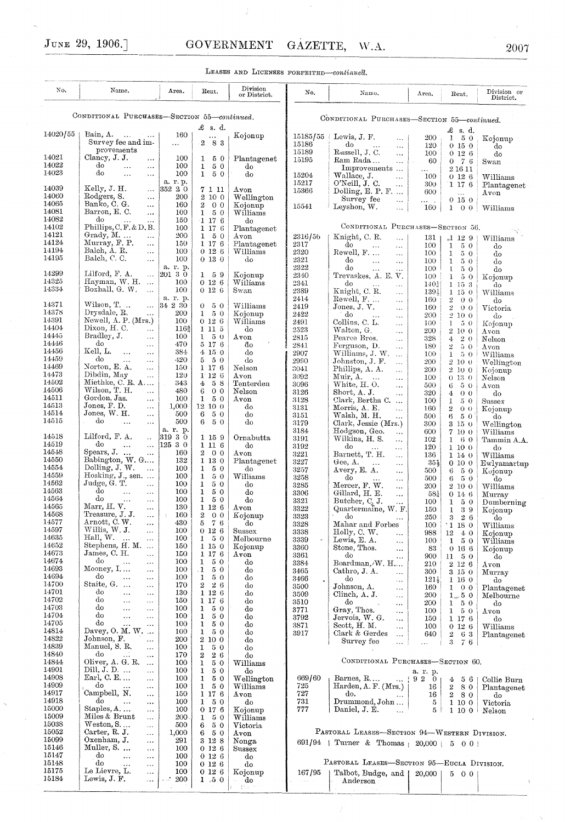| LEASES AND LICENSES FORFEITED-continued.    |                                                                                              |                                     |                                                      |                                                                                     |                                        |                                                                                           |                                 |                                                       |                                                  |
|---------------------------------------------|----------------------------------------------------------------------------------------------|-------------------------------------|------------------------------------------------------|-------------------------------------------------------------------------------------|----------------------------------------|-------------------------------------------------------------------------------------------|---------------------------------|-------------------------------------------------------|--------------------------------------------------|
| No.                                         | Name,                                                                                        | Area.                               | Rent.                                                | Division<br>or District.                                                            | No.                                    | Name,                                                                                     | Area.                           | Rent.                                                 | Division or<br>District.                         |
| CONDITIONAL PURCHASES-SECTION 55-continued. |                                                                                              |                                     |                                                      | CONDITIONAL PURCHASES-SECTION 55-continued.                                         |                                        |                                                                                           |                                 |                                                       |                                                  |
| 14020/55                                    | Bain, A.<br>$\sim 10^{-1}$<br>$\ldots$<br>Survey fee and im-                                 | 160<br>$\cdots$                     | £<br>-s. d.<br>$\overline{2}$ .<br>83                | Kojonup                                                                             | 15185/55<br>15186                      | Lewis, J. F.<br>$\ddotsc$<br>do<br>$\ldots$                                               | 200<br>120                      | £<br>s. d.<br>1<br>-50<br>0150                        | Kojonup<br>do                                    |
| 14021<br>14022                              | provements<br>Clancy, J. J.<br>$\cdots$<br>do<br>$\cdots$<br>$\ldots$                        | 100<br>100                          | 1<br>50<br>50<br>$\mathbf{I}$                        | Plantagenet<br>do                                                                   | 15189<br>15195                         | Russell, J. C.<br>$\ddotsc$<br>Ram Rada<br>$\ddotsc$                                      | 100<br>60                       | 0126<br>$0 - 7 - 6$                                   | do<br>Swan                                       |
| 14023                                       | do<br>$\ddotsc$<br>$\ldots$                                                                  | 100<br>a. r. p.                     | $\mathbf{1}$<br>50                                   | do                                                                                  | 15204<br>15217                         | Improvements<br>Wallace, J.<br>i.<br>O'Neill, J. C.<br>έć,                                | $\ldots$<br>100<br>300          | 2 16 11<br>0126<br>1176                               | Williams<br>Plantagenet                          |
| 14039<br>14060<br>14065                     | Kelly, J. H.<br>$\sim$ $\sim$ $\sim$<br>Rodgers, S.<br>$\ddotsc$<br>Banko, C. G.<br>$\ldots$ | 352 20<br>200<br>160                | 7 1 11<br>2 10 0<br>$\overline{2}$<br>0 <sub>0</sub> | $_{\mathrm{Avon}}$<br>Wellington<br>Kojonup                                         | 15366<br>15541                         | Dolling, E. P. F. $\dots$<br>Survey fee<br>$\ldots$<br>Leyshon, W.<br>$\ddotsc$           | 600<br>$\cdots$<br>160          | $\ddotsc$<br>0 15 0<br>$1 \quad 0 \quad 0$            | $_{\rm Avon}$<br>Williams                        |
| 14081<br>14082<br>14102                     | Barron, E.C.<br>$\cdots$<br>do<br>Phillips, C.F. & D.B.                                      | 100<br>150<br>100                   | 50<br>$\mathbf{1}$<br>$-1$ 17 6<br>1 17 6            | $\rm Williams$<br>do<br>Plantagenet                                                 |                                        | CONDITIONAL PURCHASES-SECTION 56.                                                         |                                 |                                                       |                                                  |
| 14121<br>14124                              | Grady, M.<br>$\cdots$<br>Murray, F. P.<br>$\cdots$                                           | 200<br>150                          | $\mathbf{1}$<br>50<br>1 17 6                         | Avon<br>Plantagenet                                                                 | 2316/56<br>2317                        | Knight, C. R.<br>$\ddotsc$<br>do<br>$\ldots$<br>$\ddotsc$                                 | 131<br>100                      | $\cdot 1$ 12 9<br>50<br>1                             | N.<br>Williams<br>do                             |
| 14194<br>14195                              | Balch, A. R.<br>$\cdots$<br>Balch, C. C.<br>$\ldots$                                         | 100<br>100                          | 0126<br>0 13 0                                       | Williams<br>đо                                                                      | 2320<br>2321                           | Rewell, F.<br>$\ddotsc$<br>do<br>$\ddotsc$<br>$\ldots$                                    | 100<br>100                      | $\mathbf{1}$<br>50<br>50<br>ı                         | do<br>do                                         |
| 14299<br>14325                              | Lilford, F. A.<br>$\ldots$<br>Hayman, W. H.<br>$\ddotsc$                                     | a. r. p.<br>$ 201 \; 3 \; 0$<br>100 | 1 5 9<br>0126                                        | Kojonup                                                                             | 2322<br>2340                           | do<br>$\ldots$<br>$\ddotsc$<br>Trevaskes, A. E. V.                                        | 100<br>100                      | $\mathbf{L}$<br>5 0<br>1<br>50                        | do<br>Kojonup                                    |
| 14334                                       | Boxhall, G. W.<br>$\ddotsc$                                                                  | 100<br>a. r. p.                     | 0126                                                 | Williams<br>Swan                                                                    | 2341<br>2389<br>$24\,\mathrm{l}4$      | do<br>$\ddotsc$<br>$\ddotsc$<br>Knight, C. R.<br>$\ddotsc$<br>Rewell, F                   | 140 <sub>3</sub><br>1395<br>160 | $1\;15\;3$<br>$1\;15\;0$<br>0 <sub>0</sub>            | do<br>Williams                                   |
| 14371<br>14378                              | Wilson, T.<br>$\sim$ $\sim$<br>Drysdale, R.<br>$\ddotsc$                                     | 34 2 30<br>200                      | 50<br>0<br>$\mathbf{1}$<br>50                        | Williams<br>Kojonup                                                                 | 2419<br>2422                           | $\sim$ .<br>Jones, J. V.<br>$\ddotsc$<br>do<br>$\sim$ .<br>$\ddotsc$                      | 160<br>200                      | $\overline{2}$<br>$\bar{2}$<br>0 <sub>0</sub><br>2100 | do<br>Victoria<br>do                             |
| 14391<br>14404                              | Newell, A. P. (Mrs.)<br>Dixon, H. C.<br>$\ldots$                                             | 100<br>1162                         | 0126<br>1 11 5                                       | Williams<br>do                                                                      | 2491<br>2523                           | Collins, C. L.<br>$\ddots$<br>Walton, G.<br>$\ddotsc$                                     | 100<br>200                      | $\mathbf{1}$<br>50<br>2 10 0                          | Kojonup<br>$_{\mathrm{Avon}}$                    |
| 14445<br>14446<br>14456                     | Bradley, J.<br>$\cdots$<br>do<br>$\ddotsc$<br>Kell, L.                                       | 100<br>470                          | 50<br>$\mathbf{1}$<br>5 17 6                         | $_{\rm Avon}$<br>đo                                                                 | 2815<br>2841                           | Pearce Bros.<br>44<br>Ferguson, D.<br>$\sim$ .                                            | 328<br>180                      | 20<br>4<br>$\mathbf{2}^-$<br>50                       | Nelson<br>Avon                                   |
| 14459<br>14469                              | .<br>$\ddotsc$<br>do<br>$\ddotsc$<br>$\cdots$<br>Norton, E. A.<br>$\ldots$                   | 384<br>420<br>150                   | 4150<br>$5\quad 5\quad 0$<br>1176                    | do<br>do<br>Nelson                                                                  | 2907<br>2990<br>3041                   | Williams, J. W.<br>$\ddotsc$<br>Johnston, J. F.<br>.                                      | 100<br>200                      | $\bf{1}$<br>50<br>2100                                | Williams<br>Wellington                           |
| 14473<br>14502                              | Dibdin, May<br>$\cdots$<br>Miethke, C. R. $A$                                                | 120<br>343                          | 1:12:6<br>$4^{\circ}$<br>-58                         | Avon<br>Tenterden                                                                   | 3092<br>3096                           | Phillips, A. A.<br>.<br>Muir, A.<br>$\sim$ .<br>$\sim$<br>White, H.O.<br>$\ddotsc$        | 200<br>100<br>500               | 2100<br>0130<br>6<br>50                               | Kojonup<br>$_{\rm Nelson}$<br>$_{\mathrm{AVon}}$ |
| 14506<br>14511                              | Wilson, T. H.<br>$\ldots$<br>Gordon, Jas.<br>$\ldots$                                        | 480<br>100                          | 6<br>0 <sub>0</sub><br>50<br>1                       | Nelson<br>$_{\mathrm{Avon}}$                                                        | 3126<br>3128                           | Short, A. J.<br><br>Clark, Bertha C.<br>$\ddotsc$                                         | 320<br>100                      | 4<br>0 <sub>0</sub><br>1<br>50                        | do<br>$_{\rm Sussex}$                            |
| 14513<br>14514<br>14515                     | Jones, F. D.<br>$\ddotsc$<br>Jones, W. H.<br>$\cdots$<br>do<br>$\cdots$<br>$\ddotsc$         | 1,000<br>500<br>500                 | $12\ 10\ 0$<br>6<br>50<br>50<br>6                    | do<br>do<br>do                                                                      | 3131<br>3151                           | Morris, A. E.<br>$\cdots$<br>Walsh, M. H.<br>                                             | 160<br>500                      | $\overline{2}$<br>0 <sub>0</sub><br>6<br>50           | Kojonup<br>do                                    |
| 14518                                       | Lilford, F. A.<br>$\ddot{\phantom{a}}$                                                       | a. r. p.<br>31930                   | 1 15 9                                               | Ornabutta                                                                           | 3179<br>3184<br>3191                   | Clark, Jessie (Mrs.)<br>Hodgson, Geo.<br>.<br>Wilkins, H. S.<br>.                         | 300<br>600<br>102               | 3150<br>7 10 0<br>60<br>1                             | Wellington<br>$\rm Williams$<br>Tammin A.A.      |
| 14519<br>14548                              | do<br>$\cdots$<br>$\ldots$<br>Spears, $J.$<br>$\ddots$                                       | 12530<br>160                        | $1\;11\;6$<br>$2\quad 0\quad 0$                      | do<br>$_{\mathrm{Avon}}$                                                            | 3192<br>3221                           | do<br>$\cdots$<br>Barnett, T. H.<br>$\ddotsc$                                             | 120<br>136                      | 1 10 0<br>1140                                        | do<br>Williams                                   |
| 14550<br>14554<br>14559                     | Babington, W. G<br>Dolling, J. W.<br>$\ddotsc$                                               | 132<br>100                          | 1 13 0<br>1<br>50                                    | Plantagenet<br>do                                                                   | 3227<br>3257                           | Gee, $A$ .<br>$\mathbf{r}$<br>$\ddotsc$<br>Avery, E. A.<br>$\ddotsc$                      | $35\frac{1}{2}$<br>500          | 0100<br>6<br>50                                       | Ewlyamartup<br>Kojonup                           |
| 14562<br>14563                              | Hosking, $J_{\cdot}$ , sen.<br>Judge, G. T.<br>$\ldots$<br>do<br>$\ddotsc$<br>$\ldots$       | 100<br>100<br>100                   | $\mathbf{1}$<br>50<br>ı<br>50<br>1<br>50             | Williams<br>do<br>do                                                                | 3258<br>3285<br>3306                   | do<br>$\cdots$<br>$\ddotsc$<br>Mercer, F. W.<br>$\ddotsc$                                 | 500<br>200                      | 6<br>50<br>2 10 0                                     | do<br>Williams                                   |
| 14564<br>14565                              | do<br>$\ldots$<br>$\ldots$<br>Marr, H. V.<br>$\ddotsc$                                       | 100<br>130                          | 1<br>50<br>1126                                      | do<br>Avon                                                                          | 3321<br>3322                           | Gillard, H. E.<br>$\ddotsc$<br>Butcher, C. J.<br>Quartermaine, W. F.                      | $58\frac{1}{4}$<br>100<br>150   | 0146<br>$1\quad 5\ 0$<br>$\mathbf{1}$<br>39           | Murray<br>Dumberning<br>Kojonup                  |
| 14568<br>14577                              | Treasure, J.J.<br>$\ddotsc$<br>Arnott, C.W.<br>$\ddotsc$                                     | 160<br>430                          | $\boldsymbol{2}$<br>0 <sub>0</sub><br>$5\quad 7\ 6$  | Kojonup<br>do                                                                       | 3323<br>3328                           | do<br>$\cdots$<br>Mahar and Forbes                                                        | 250<br>100                      | 3<br>26<br>$'1$ 18 0                                  | do<br>Williams                                   |
| 14597<br>14635                              | Willis, W. J.<br>$\cdots$<br>Hall, W.<br>$\ddotsc$<br>$\ldots$                               | 100<br>100                          | 0126<br>1<br>50                                      | Sussex<br>Melbourne                                                                 | 3338<br>3339                           | Holly, C. W.<br>$\ldots$<br>Lewis, E. A.<br>$\ddots$                                      | 988<br>100                      | $12\,$<br>40<br>$\mathbf{1}$<br>50                    | Kojonup<br>Williams                              |
| 14652<br>14673<br>14674                     | Stephens, H. M.<br>James, C. H.<br>$\ldots$<br>do<br>.<br>$\ldots$                           | 150<br>150<br>100                   | 1 15 0<br>1 17 6<br>50<br>1                          | Kojonup<br>$A$ von<br>do                                                            | 3360<br>3361                           | Stone, Thos.<br>$\ddotsc$<br>do<br>                                                       | 83<br>900                       | 0166<br>$11 \t50$                                     | Kojonup<br>do                                    |
| 14693<br>14694                              | Mooney, I<br>$\cdots$<br>do<br>.<br>$\cdots$                                                 | 100<br>100                          | .1<br>50<br>$\mathbf{1}$<br>50                       | do<br>do                                                                            | 3384<br>3465<br>3466<br>$\blacksquare$ | Boardman, W. H<br>Cathro, J. A.<br>$\ddotsc$<br>do                                        | 210<br>300<br>$121_{2}$         | 2126<br>$3\,$ 15 $\,$ 0 $\,$<br>1 16 0                | Avon<br>Murray<br>do                             |
| 14700<br>14701                              | Staite, G.<br>$\ddotsc$<br>$\ldots$<br>do<br>$\ddotsc$<br>$\ddotsc$                          | 170<br>130                          | 26<br>$\boldsymbol{2}$<br>1 12 6                     | do<br>do                                                                            | 3500<br>3509                           | $\ldots$<br>Johnson, A.<br>$\ddotsc$<br>Clinch, A. J.<br>$\ddotsc$                        | 160<br>200                      | $1 \quad 0 \quad 0$<br>$1 \times 50$                  | Plantagenet<br>Melbourne                         |
| 14702<br>14703<br>14704                     | do<br>.<br>$\cdots$<br>do<br>.<br>$\cdots$<br>do                                             | 150<br>100                          | 1 17 6<br>$\mathbf{1}$<br>50                         | do<br>do                                                                            | 3510<br>3771                           | do<br><br>Gray, Thos.<br>                                                                 | 200<br>100                      | $1\quad 5\quad 0$<br>$1\quad 5\quad 0$                | do<br>Avon                                       |
| 14705<br>14814                              | $\cdots$<br>$\ddotsc$<br>do<br>$\cdots$<br>$\cdots$<br>Davey, O. M. W.                       | 100<br>100<br>100                   | 1<br>50<br>$\mathbf{1}$<br>50<br>ı<br>50             | do<br>do<br>do                                                                      | 3792<br>3871<br>3917                   | Jervois, W. G.<br>$\ddotsc$<br>Scott, H. M.<br>$\cdots$                                   | 150<br>100                      | 1176<br>0126                                          | do<br>Williams                                   |
| 14822<br>14839                              | Johnson, F.<br>$\cdots$<br>Manuel, S. R.<br>$\ddotsc$                                        | 200<br>100                          | 2 10 0<br>$\mathbf{I}$<br>50                         | do<br>do                                                                            |                                        | Clark & Gerdes<br>$\ddotsc$<br>Survey fee<br>$\ddotsc$                                    | 640<br>.                        | $\boldsymbol{2}$<br>63<br>3<br>76                     | Plantagenet                                      |
| 14840<br>14844<br>14901                     | do<br>.<br>$\ddotsc$<br>Oliver, A. G. R.<br>$\cdots$<br>Dill, J. D.<br>$\ddotsc$             | 170<br>100<br>100                   | $\overline{2}$<br>26<br>ı<br>50<br>1<br>50           | do<br>Williams<br>do                                                                | CONDITIONAL PURCHASES-SECTION 60.      |                                                                                           |                                 |                                                       |                                                  |
| 14908<br>14909                              | Earl, C. E<br>$\ldots$<br>do<br>$\ldots$<br>$\sim$ $\sim$                                    | 100<br>100                          | 1<br>50<br>$\mathbf{I}$<br>50                        | Wellington<br>$\operatorname{Williams}$                                             | 669/60<br>725                          | Barnes, R<br>$\rm Harden, A. F. (Mrs.)$                                                   | a. r. p.<br>920<br>16           | $4\quad 5\quad 6$<br>$2\quad 8\ 0$                    | Collie Burn<br>Plantagenet                       |
| 14917<br>14918                              | Campbell, N.<br>$\ddotsc$<br>do<br>.<br>$\cdots$                                             | 150<br>100                          | 1 17 6<br>1<br>50                                    | $_{\rm Avon}$<br>do                                                                 | 727<br>731                             | do.<br>$\ldots$ .<br>Drummond, John                                                       | 16<br>5                         | $2\quad 8\ 0$<br>1 10 0                               | do<br>Victoria                                   |
| 15000<br>15009<br>15038                     | Staples, A.<br>$\ldots$<br>Miles & Brunt<br>$\ldots$<br>$Weston, S. \dots$<br>$\cdots$       | 100<br>200<br>500                   | 0176<br>1<br>50<br>50<br>6                           | Kojonup<br>Williams<br>Victoria                                                     | 777                                    | Daniel, J. E.<br>$\ddotsc$                                                                | 5                               | 1 10 01                                               | Nelson                                           |
| 15052<br>15099                              | Carter, R. J.<br>$\ldots$<br>Oxenham, J.<br>$\cdots$                                         | 1,000<br>291                        | 6.<br>-50<br>$3\,$ 12 $\,$ 8 $\,$                    | Avon<br>Nonga                                                                       |                                        | PASTORAL LEASES-SECTION 94-WESTERN DIVISION.<br>691/94   Turner & Thomas   20,000   5 0 0 |                                 |                                                       |                                                  |
| 15146<br>15147                              | Muller, S.<br>$\cdots$<br>do<br><br>$\ldots$                                                 | 100<br>100                          | 0126<br>0126                                         | Sussex<br>do                                                                        |                                        |                                                                                           |                                 |                                                       |                                                  |
| 15148<br>15175<br>15184                     | do<br><br>$\ldots$<br>Le Lievre, L.<br>$\cdots$<br>Lewis, J. F.                              | 100<br>100<br>200                   | 0126<br>$0\;12\;6$                                   | do<br>Kojonup                                                                       | 167/95                                 | PASTORAL LEASES-SECTION 95-EUCLA DIVISION.<br>Talbot, Budge, and                          | 20,000                          | 5 0 0                                                 |                                                  |
|                                             | $\ddotsc$                                                                                    |                                     | 1.50                                                 | — do<br>$\frac{2}{3q} \mathcal{F}_{\mu\nu\lambda}(\lambda) = 2\pi \lambda^{\mu\nu}$ |                                        | Anderson                                                                                  |                                 |                                                       |                                                  |